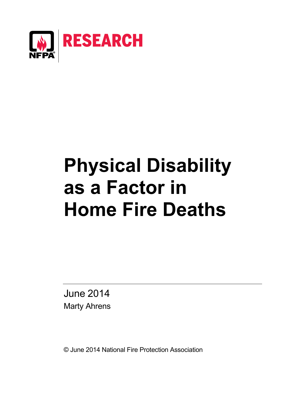

# **Physical Disability as a Factor in Home Fire Deaths**

June 2014 Marty Ahrens

© June 2014 National Fire Protection Association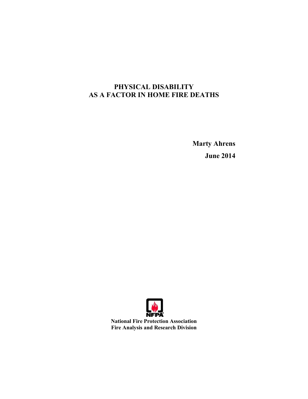# **PHYSICAL DISABILITY AS A FACTOR IN HOME FIRE DEATHS**

**Marty Ahrens June 2014** 

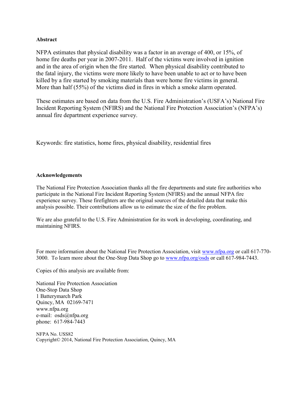#### **Abstract**

NFPA estimates that physical disability was a factor in an average of 400, or 15%, of home fire deaths per year in 2007-2011. Half of the victims were involved in ignition and in the area of origin when the fire started. When physical disability contributed to the fatal injury, the victims were more likely to have been unable to act or to have been killed by a fire started by smoking materials than were home fire victims in general. More than half (55%) of the victims died in fires in which a smoke alarm operated.

These estimates are based on data from the U.S. Fire Administration's (USFA's) National Fire Incident Reporting System (NFIRS) and the National Fire Protection Association's (NFPA's) annual fire department experience survey.

Keywords: fire statistics, home fires, physical disability, residential fires

## **Acknowledgements**

The National Fire Protection Association thanks all the fire departments and state fire authorities who participate in the National Fire Incident Reporting System (NFIRS) and the annual NFPA fire experience survey. These firefighters are the original sources of the detailed data that make this analysis possible. Their contributions allow us to estimate the size of the fire problem.

We are also grateful to the U.S. Fire Administration for its work in developing, coordinating, and maintaining NFIRS.

For more information about the National Fire Protection Association, visit [www.nfpa.org](http://www.nfpa.org/index.asp?order_src=C072&lid=C072) or call 617-770- 3000. To learn more about the One-Stop Data Shop go to [www.nfpa.org/osds](http://www.nfpa.org/categoryList.asp?categoryID=219&order_src=C072&lid=C072) or call 617-984-7443.

Copies of this analysis are available from:

National Fire Protection Association One-Stop Data Shop 1 Batterymarch Park Quincy, MA 02169-7471 www.nfpa.org e-mail: osds@nfpa.org phone: 617-984-7443

NFPA No. USS82 Copyright© 2014, National Fire Protection Association, Quincy, MA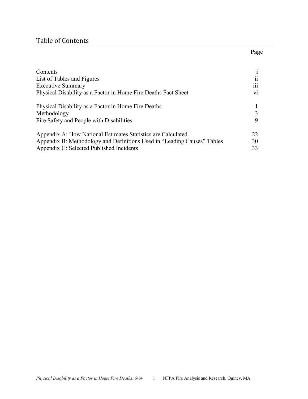## Table of Contents

# Contents i List of Tables and Figures ii Executive Summary iii Physical Disability as a Factor in Home Fire Deaths Fact Sheet vi Physical Disability as a Factor in Home Fire Deaths 1 Methodology 3 Fire Safety and People with Disabilities 9 [Appendix A:](#page-30-0) How National Estimates Statistics are Calculated 22 [Appendix B:](#page-38-0) Methodology and Definitions Used in "Leading Causes" Tables 30 [Appendix C:](#page-41-0) Selected Published Incidents 33

#### **Page**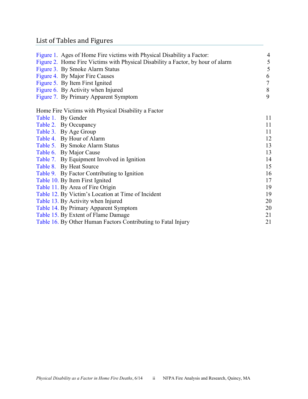# List of Tables and Figures

| Figure 1. Ages of Home Fire victims with Physical Disability a Factor:          | 4              |
|---------------------------------------------------------------------------------|----------------|
| Figure 2. Home Fire Victims with Physical Disability a Factor, by hour of alarm | 5              |
| Figure 3. By Smoke Alarm Status                                                 | 5              |
| Figure 4. By Major Fire Causes                                                  | 6              |
| Figure 5. By Item First Ignited                                                 | $\overline{7}$ |
| Figure 6. By Activity when Injured                                              | $\,8\,$        |
| Figure 7. By Primary Apparent Symptom                                           | 9              |
| Home Fire Victims with Physical Disability a Factor                             |                |
| Table 1. By Gender                                                              | 11             |
| Table 2. By Occupancy                                                           | 11             |
| Table 3. By Age Group                                                           | 11             |
| Table 4. By Hour of Alarm                                                       | 12             |
| Table 5. By Smoke Alarm Status                                                  | 13             |
| Table 6. By Major Cause                                                         | 13             |
| Table 7. By Equipment Involved in Ignition                                      | 14             |
| Table 8. By Heat Source                                                         | 15             |
| Table 9. By Factor Contributing to Ignition                                     | 16             |
| Table 10. By Item First Ignited                                                 | 17             |
| Table 11. By Area of Fire Origin                                                | 19             |
| Table 12. By Victim's Location at Time of Incident                              | 19             |
| Table 13. By Activity when Injured                                              | 20             |
| Table 14. By Primary Apparent Symptom                                           | 20             |
| Table 15. By Extent of Flame Damage                                             | 21             |
| Table 16. By Other Human Factors Contributing to Fatal Injury                   | 21             |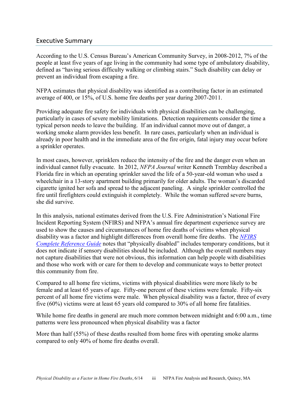## Executive Summary

According to the U.S. Census Bureau's American Community Survey, in 2008-2012, 7% of the people at least five years of age living in the community had some type of ambulatory disability, defined as "having serious difficulty walking or climbing stairs." Such disability can delay or prevent an individual from escaping a fire.

NFPA estimates that physical disability was identified as a contributing factor in an estimated average of 400, or 15%, of U.S. home fire deaths per year during 2007-2011.

Providing adequate fire safety for individuals with physical disabilities can be challenging, particularly in cases of severe mobility limitations. Detection requirements consider the time a typical person needs to leave the building. If an individual cannot move out of danger, a working smoke alarm provides less benefit. In rare cases, particularly when an individual is already in poor health and in the immediate area of the fire origin, fatal injury may occur before a sprinkler operates.

In most cases, however, sprinklers reduce the intensity of the fire and the danger even when an individual cannot fully evacuate. In 2012, *NFPA Journal* writer Kenneth Tremblay described a Florida fire in which an operating sprinkler saved the life of a 50-year-old woman who used a wheelchair in a 13-story apartment building primarily for older adults. The woman's discarded cigarette ignited her sofa and spread to the adjacent paneling. A single sprinkler controlled the fire until firefighters could extinguish it completely. While the woman suffered severe burns, she did survive.

In this analysis, national estimates derived from the U.S. Fire Administration's National Fire Incident Reporting System (NFIRS) and NFPA's annual fire department experience survey are used to show the causes and circumstances of home fire deaths of victims when physical disability was a factor and highlight differences from overall home fire deaths. The *[NFIRS](https://www.nfirs.fema.gov/documentation/reference/)  [Complete Reference Guide](https://www.nfirs.fema.gov/documentation/reference/)* notes that "physically disabled" includes temporary conditions, but it does not indicate if sensory disabilities should be included. Although the overall numbers may not capture disabilities that were not obvious, this information can help people with disabilities and those who work with or care for them to develop and communicate ways to better protect this community from fire.

Compared to all home fire victims, victims with physical disabilities were more likely to be female and at least 65 years of age. Fifty-one percent of these victims were female. Fifty-six percent of all home fire victims were male. When physical disability was a factor, three of every five (60%) victims were at least 65 years old compared to 30% of all home fire fatalities.

While home fire deaths in general are much more common between midnight and 6:00 a.m., time patterns were less pronounced when physical disability was a factor

More than half (55%) of these deaths resulted from home fires with operating smoke alarms compared to only 40% of home fire deaths overall.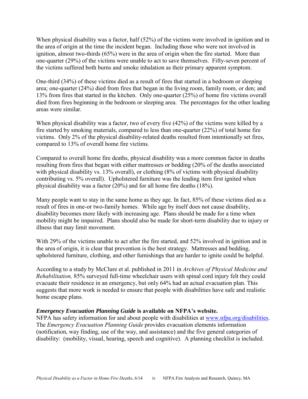When physical disability was a factor, half (52%) of the victims were involved in ignition and in the area of origin at the time the incident began. Including those who were not involved in ignition, almost two-thirds (65%) were in the area of origin when the fire started. More than one-quarter (29%) of the victims were unable to act to save themselves. Fifty-seven percent of the victims suffered both burns and smoke inhalation as their primary apparent symptom.

One-third (34%) of these victims died as a result of fires that started in a bedroom or sleeping area; one-quarter (24%) died from fires that began in the living room, family room, or den; and 13% from fires that started in the kitchen. Only one-quarter (25%) of home fire victims overall died from fires beginning in the bedroom or sleeping area. The percentages for the other leading areas were similar.

When physical disability was a factor, two of every five (42%) of the victims were killed by a fire started by smoking materials, compared to less than one-quarter (22%) of total home fire victims. Only 2% of the physical disability-related deaths resulted from intentionally set fires, compared to 13% of overall home fire victims.

Compared to overall home fire deaths, physical disability was a more common factor in deaths resulting from fires that began with either mattresses or bedding (20% of the deaths associated with physical disability vs. 13% overall), or clothing (8% of victims with physical disability contributing vs. 5% overall). Upholstered furniture was the leading item first ignited when physical disability was a factor (20%) and for all home fire deaths (18%).

Many people want to stay in the same home as they age. In fact, 85% of these victims died as a result of fires in one-or two-family homes. While age by itself does not cause disability, disability becomes more likely with increasing age. Plans should be made for a time when mobility might be impaired. Plans should also be made for short-term disability due to injury or illness that may limit movement.

With 29% of the victims unable to act after the fire started, and 52% involved in ignition and in the area of origin, it is clear that prevention is the best strategy. Mattresses and bedding, upholstered furniture, clothing, and other furnishings that are harder to ignite could be helpful.

According to a study by McClure et al. published in 2011 in *Archives of Physical Medicine and Rehabilitation,* 85% surveyed full-time wheelchair users with spinal cord injury felt they could evacuate their residence in an emergency, but only 64% had an actual evacuation plan. This suggests that more work is needed to ensure that people with disabilities have safe and realistic home escape plans.

## *Emergency Evacuation Planning Guide* **is available on NFPA's website.**

NFPA has safety information for and about people with disabilities at [www.nfpa.org/disabilities.](http://www.nfpa.org/categoryList.asp?categoryID=824&order_src=C072&lid=C072) The *Emergency Evacuation Planning Guide* provides evacuation elements information (notification, way finding, use of the way, and assistance) and the five general categories of disability: (mobility, visual, hearing, speech and cognitive). A planning checklist is included.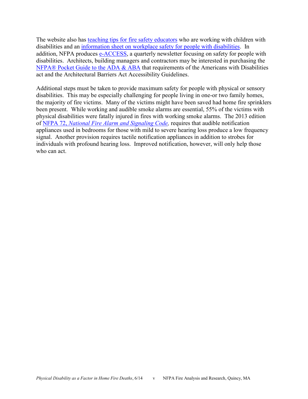The website also has [teaching tips for fire safety educators](http://www.nfpa.org/safety-information/for-consumers/populations/people-with-disabilities/educational-materials) who are working with children with disabilities and an [information sheet on workplace safety for people with disabilities.](http://www.nfpa.org/safety-information/for-consumers/populations/people-with-disabilities/educational-materials) In addition, NFPA produces [e-ACCESS,](http://www.nfpa.org/safety-information/for-consumers/populations/people-with-disabilities/e-access-newsletter) a quarterly newsletter focusing on safety for people with disabilities. Architects, building managers and contractors may be interested in purchasing the [NFPA® Pocket Guide to the ADA & ABA](http://www.nfpa.org/catalog/product.asp?link_type=buy_box&pid=PGADA08&icid=A292) that requirements of the Americans with Disabilities act and the Architectural Barriers Act Accessibility Guidelines.

Additional steps must be taken to provide maximum safety for people with physical or sensory disabilities. This may be especially challenging for people living in one-or two family homes, the majority of fire victims. Many of the victims might have been saved had home fire sprinklers been present. While working and audible smoke alarms are essential, 55% of the victims with physical disabilities were fatally injured in fires with working smoke alarms. The 2013 edition of NFPA 72, *[National Fire Alarm and Signaling Code,](http://www.nfpa.org/aboutthecodes/AboutTheCodes.asp?DocNum=72&order_src=C072&lid=C072)* requires that audible notification appliances used in bedrooms for those with mild to severe hearing loss produce a low frequency signal. Another provision requires tactile notification appliances in addition to strobes for individuals with profound hearing loss. Improved notification, however, will only help those who can act.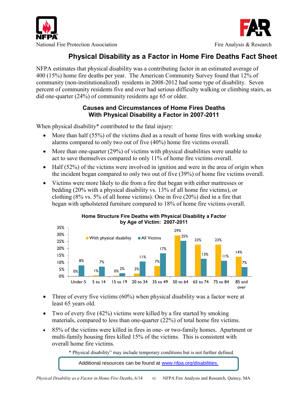



# **Physical Disability as a Factor in Home Fire Deaths Fact Sheet**

NFPA estimates that physical disability was a contributing factor in an estimated average of 400 (15%) home fire deaths per year. The American Community Survey found that 12% of community (non-institutionalized) residents in 2008-2012 had some type of disability. Seven percent of community residents five and over had serious difficulty walking or climbing stairs, as did one-quarter (24%) of community residents age 65 or older.

## **Causes and Circumstances of Home Fires Deaths With Physical Disability a Factor in 2007-2011**

When physical disability<sup>\*</sup> contributed to the fatal injury:

- $\bullet$  More than half (55%) of the victims died as a result of home fires with working smoke alarms compared to only two out of five (40%) home fire victims overall.
- More than one-quarter (29%) of victims with physical disabilities were unable to act to save themselves compared to only 11% of home fire victims overall.
- $\bullet$  Half (52%) of the victims were involved in ignition and were in the area of origin when the incident began compared to only two out of five (39%) of home fire victims overall.
- Victims were more likely to die from a fire that began with either mattresses or bedding (20% with a physical disability vs. 13% of all home fire victims), or clothing (8% vs. 5% of all home victims). One in five (20%) died in a fire that began with upholstered furniture compared to 18% of home fire victims overall.



**Home Structure Fire Deaths with Physical Disability a Factor by Age of Victim: 2007-2011** 

- Three of every five victims (60%) when physical disability was a factor were at least 65 years old.
- Two of every five  $(42\%)$  victims were killed by a fire started by smoking materials, compared to less than one-quarter (22%) of total home fire victims.
- 85% of the victims were killed in fires in one- or two-family homes. Apartment or multi-family housing fires killed 15% of the victims. This is consistent with overall home fire victims.

\* Physical disability" may include temporary conditions but is not further defined.

Additional resources can be found at [www.nfpa.org/disabilities.](http://www.nfpa.org/categoryList.asp?categoryID=824&order_src=C072&lid=C072)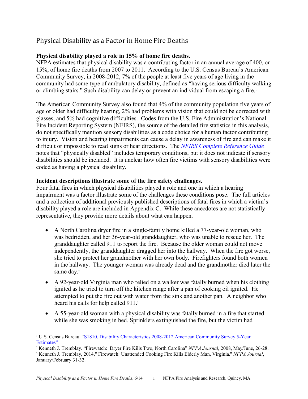# Physical Disability as a Factor in Home Fire Deaths

## **Physical disability played a role in 15% of home fire deaths.**

NFPA estimates that physical disability was a contributing factor in an annual average of 400, or 15%, of home fire deaths from 2007 to 2011. According to the U.S. Census Bureau's American Community Survey, in 2008-2012, 7% of the people at least five years of age living in the community had some type of ambulatory disability, defined as "having serious difficulty walking or climbing stairs." Such disability can delay or prevent an individual from escaping a fire.<sup>1</sup>

The American Community Survey also found that 4% of the community population five years of age or older had difficulty hearing, 2% had problems with vision that could not be corrected with glasses, and 5% had cognitive difficulties. Codes from the U.S. Fire Administration's National Fire Incident Reporting System (NFIRS), the source of the detailed fire statistics in this analysis, do not specifically mention sensory disabilities as a code choice for a human factor contributing to injury. Vision and hearing impairments can cause a delay in awareness of fire and can make it difficult or impossible to read signs or hear directions. The *[NFIRS Complete Reference Guide](https://www.nfirs.fema.gov/documentation/reference/)* notes that "physically disabled" includes temporary conditions, but it does not indicate if sensory disabilities should be included. It is unclear how often fire victims with sensory disabilities were coded as having a physical disability.

## **Incident descriptions illustrate some of the fire safety challenges.**

Four fatal fires in which physical disabilities played a role and one in which a hearing impairment was a factor illustrate some of the challenges these conditions pose. The full articles and a collection of additional previously published descriptions of fatal fires in which a victim's disability played a role are included in [Appendix C.](#page-41-0) While these anecdotes are not statistically representative, they provide more details about what can happen.

- A North Carolina dryer fire in a single-family home killed a 77-year-old woman, who was bedridden, and her 36-year-old granddaughter, who was unable to rescue her. The granddaughter called 911 to report the fire. Because the older woman could not move independently, the granddaughter dragged her into the hallway. When the fire got worse, she tried to protect her grandmother with her own body. Firefighters found both women in the hallway. The younger woman was already dead and the grandmother died later the same day.<sup>2</sup>
- A 92-year-old Virginia man who relied on a walker was fatally burned when his clothing ignited as he tried to turn off the kitchen range after a pan of cooking oil ignited. He attempted to put the fire out with water from the sink and another pan. A neighbor who heard his calls for help called 911.<sup>3</sup>
- A 55-year-old woman with a physical disability was fatally burned in a fire that started while she was smoking in bed. Sprinklers extinguished the fire, but the victim had

 $\overline{a}$ <sup>1</sup> U.S. Census Bureau. ["S1810. Disability Characteristics 2008-2012 American Community Survey 5-Year](http://factfinder2.census.gov/faces/tableservices/jsf/pages/productview.xhtml?pid=ACS_12_5YR_S1810&prodType=table)  [Estimates"](http://factfinder2.census.gov/faces/tableservices/jsf/pages/productview.xhtml?pid=ACS_12_5YR_S1810&prodType=table)

<sup>2</sup> Kenneth J. Tremblay. "Firewatch: Dryer Fire Kills Two, North Carolina" *NFPA Journal*, 2008, May/June, 26-28.

<sup>3</sup> Kenneth J. Tremblay, 2014," Firewatch: Unattended Cooking Fire Kills Elderly Man, Virginia," *NFPA Journal*, January/February 31-32.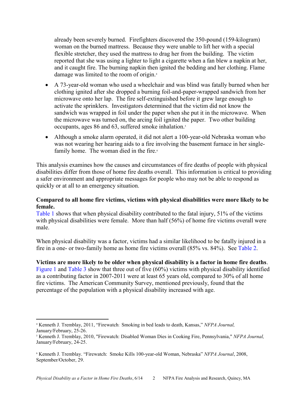already been severely burned. Firefighters discovered the 350-pound (159-kilogram) woman on the burned mattress. Because they were unable to lift her with a special flexible stretcher, they used the mattress to drag her from the building. The victim reported that she was using a lighter to light a cigarette when a fan blew a napkin at her, and it caught fire. The burning napkin then ignited the bedding and her clothing. Flame damage was limited to the room of origin.<sup>4</sup>

- A 73-year-old woman who used a wheelchair and was blind was fatally burned when her clothing ignited after she dropped a burning foil-and-paper-wrapped sandwich from her microwave onto her lap. The fire self-extinguished before it grew large enough to activate the sprinklers. Investigators determined that the victim did not know the sandwich was wrapped in foil under the paper when she put it in the microwave. When the microwave was turned on, the arcing foil ignited the paper. Two other building occupants, ages 86 and 63, suffered smoke inhalation.<sup>5</sup>
- Although a smoke alarm operated, it did not alert a 100-year-old Nebraska woman who was not wearing her hearing aids to a fire involving the basement furnace in her singlefamily home. The woman died in the fire.<sup>6</sup>

This analysis examines how the causes and circumstances of fire deaths of people with physical disabilities differ from those of home fire deaths overall. This information is critical to providing a safer environment and appropriate messages for people who may not be able to respond as quickly or at all to an emergency situation.

## **Compared to all home fire victims, victims with physical disabilities were more likely to be female.**

[Table 1](#page-19-0) shows that when physical disability contributed to the fatal injury, 51% of the victims with physical disabilities were female. More than half (56%) of home fire victims overall were male.

When physical disability was a factor, victims had a similar likelihood to be fatally injured in a fire in a one- or two-family home as home fire victims overall (85% vs. 84%). See [Table 2.](#page-19-0) 

**Victims are more likely to be older when physical disability is a factor in home fire deaths**. [Figure 1](#page-12-0) and [Table 3](#page-19-0) show that three out of five (60%) victims with physical disability identified as a contributing factor in 2007-2011 were at least 65 years old, compared to 30% of all home fire victims. The American Community Survey, mentioned previously, found that the percentage of the population with a physical disability increased with age.

l <sup>4</sup> Kenneth J. Tremblay, 2011, "Firewatch: Smoking in bed leads to death, Kansas," *NFPA Journal,* January/February, 25-26.

<sup>5</sup> Kenneth J. Tremblay, 2010, "Firewatch: Disabled Woman Dies in Cooking Fire, Pennsylvania," *NFPA Journal,*  January/February, 24-25.

<sup>6</sup> Kenneth J. Tremblay. "Firewatch: Smoke Kills 100-year-old Woman, Nebraska" *NFPA Journal*, 2008, September/October, 29.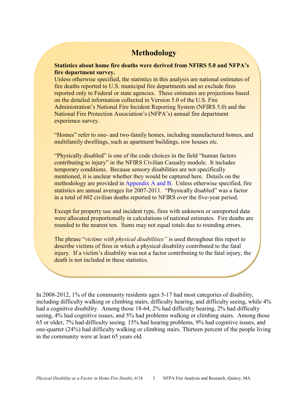# **Methodology**

**Statistics about home fire deaths were derived from NFIRS 5.0 and NFPA's fire department survey.** 

Unless otherwise specified, the statistics in this analysis are national estimates of fire deaths reported to U.S. municipal fire departments and so exclude fires reported only to Federal or state agencies. These estimates are projections based on the detailed information collected in Version 5.0 of the U.S. Fire Administration's National Fire Incident Reporting System (NFIRS 5.0) and the National Fire Protection Association's (NFPA's) annual fire department experience survey.

"Homes" refer to one- and two-family homes, including manufactured homes, and multifamily dwellings, such as apartment buildings, row houses etc.

"Physically disabled" is one of the code choices in the field "human factors contributing to injury" in the NFIRS Civilian Casualty module. It includes temporary conditions. Because sensory disabilities are not specifically mentioned, it is unclear whether they would be captured here. Details on the methodology are provided in [Appendix A](#page-30-0) and [B.](#page-38-0) Unless otherwise specified, fire statistics are annual averages for 2007-2011. "Physically disabled" was a factor in a total of 602 civilian deaths reported to NFIRS over the five-year period.

Except for property use and incident type, fires with unknown or unreported data were allocated proportionally in calculations of national estimates. Fire deaths are rounded to the nearest ten. Sums may not equal totals due to rounding errors.

The phrase "*victims with physical disabilities"* is used throughout this report to describe victims of fires in which a physical disability contributed to the fatal injury. If a victim's disability was not a factor contributing to the fatal injury, the death is not included in these statistics.

In 2008-2012, 1% of the community residents ages 5-17 had most categories of disability, including difficulty walking or climbing stairs, difficulty hearing, and difficulty seeing, while 4% had a cognitive disability. Among those 18-64, 2% had difficulty hearing, 2% had difficulty seeing, 4% had cognitive issues, and 5% had problems walking or climbing stairs. Among those 65 or older, 7% had difficulty seeing. 15% had hearing problems, 9% had cognitive issues, and one-quarter (24%) had difficulty walking or climbing stairs. Thirteen percent of the people living in the community were at least 65 years old.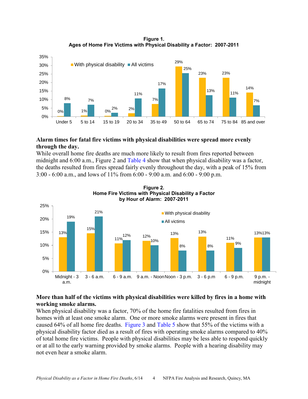**Figure 1. Ages of Home Fire Victims with Physical Disability a Factor: 2007-2011** 

<span id="page-12-0"></span>

## **Alarm times for fatal fire victims with physical disabilities were spread more evenly through the day.**

While overall home fire deaths are much more likely to result from fires reported between midnight and 6:00 a.m., Figure 2 and [Table 4](#page-20-0) show that when physical disability was a factor, the deaths resulted from fires spread fairly evenly throughout the day, with a peak of 15% from 3:00 - 6:00 a.m., and lows of 11% from 6:00 - 9:00 a.m. and 6:00 - 9:00 p.m.



**Figure 2. Home Fire Victims with Physical Disability a Factor**

## **More than half of the victims with physical disabilities were killed by fires in a home with working smoke alarms.**

When physical disability was a factor, 70% of the home fire fatalities resulted from fires in homes with at least one smoke alarm. One or more smoke alarms were present in fires that caused 64% of all home fire deaths. [Figure 3](#page-13-0) and [Table 5](#page-21-0) show that 55% of the victims with a physical disability factor died as a result of fires with operating smoke alarms compared to 40% of total home fire victims. People with physical disabilities may be less able to respond quickly or at all to the early warning provided by smoke alarms. People with a hearing disability may not even hear a smoke alarm.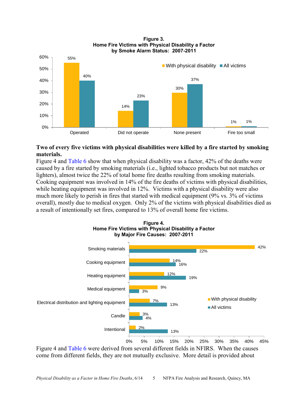<span id="page-13-0"></span>

#### **Figure 3. Home Fire Victims with Physical Disability a Factor by Smoke Alarm Status: 2007-2011**

## **Two of every five victims with physical disabilities were killed by a fire started by smoking materials.**

Figure 4 an[d Table 6 s](#page-21-0)how that when physical disability was a factor, 42% of the deaths were caused by a fire started by smoking materials (i.e., lighted tobacco products but not matches or lighters), almost twice the 22% of total home fire deaths resulting from smoking materials. Cooking equipment was involved in 14% of the fire deaths of victims with physical disabilities, while heating equipment was involved in 12%. Victims with a physical disability were also much more likely to perish in fires that started with medical equipment (9% vs. 3% of victims overall), mostly due to medical oxygen. Only 2% of the victims with physical disabilities died as a result of intentionally set fires, compared to 13% of overall home fire victims.



**Figure 4. Home Fire Victims with Physical Disability a Factor by Major Fire Causes: 2007-2011**

Figure 4 and [Table 6 w](#page-21-0)ere derived from several different fields in NFIRS. When the causes come from different fields, they are not mutually exclusive. More detail is provided about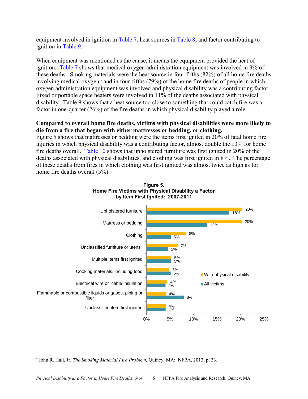<span id="page-14-0"></span>equipment involved in ignition i[n Table 7,](#page-22-0) heat sources in [Table 8,](#page-23-0) and factor contributing to ignition in [Table 9.](#page-24-0) 

When equipment was mentioned as the cause, it means the equipment provided the heat of ignition. [Table 7 s](#page-22-0)hows that medical oxygen administration equipment was involved in 9% of these deaths. Smoking materials were the heat source in four-fifths (82%) of all home fire deaths involving medical oxygen,<sup>7</sup> and in four-fifths (79%) of the home fire deaths of people in which oxygen administration equipment was involved and physical disability was a contributing factor. Fixed or portable space heaters were involved in 11% of the deaths associated with physical disability. [Table 9 s](#page-24-0)hows that a heat source too close to something that could catch fire was a factor in one-quarter (26%) of the fire deaths in which physical disability played a role.

## **Compared to overall home fire deaths, victims with physical disabilities were more likely to die from a fire that began with either mattresses or bedding, or clothing.**

Figure 5 shows that mattresses or bedding were the items first ignited in 20% of fatal home fire injuries in which physical disability was a contributing factor, almost double the 13% for home fire deaths overall. [Table 10](#page-25-0) shows that upholstered furniture was first ignited in 20% of the deaths associated with physical disabilities, and clothing was first ignited in 8%. The percentage of these deaths from fires in which clothing was first ignited was almost twice as high as for home fire deaths overall (5%).





 $\overline{\phantom{a}}$ 

<sup>7</sup> John R. Hall, Jr. *The Smoking Material Fire Problem,* Quincy, MA: NFPA, 2013, p. 33.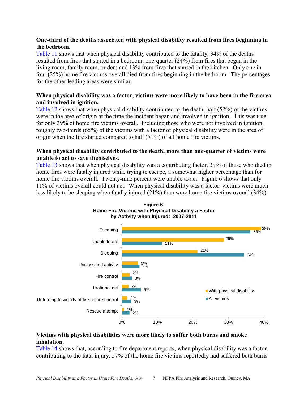## <span id="page-15-0"></span>**One-third of the deaths associated with physical disability resulted from fires beginning in the bedroom.**

[Table 11](#page-26-0) shows that when physical disability contributed to the fatality, 34% of the deaths resulted from fires that started in a bedroom; one-quarter (24%) from fires that began in the living room, family room, or den; and 13% from fires that started in the kitchen. Only one in four (25%) home fire victims overall died from fires beginning in the bedroom. The percentages for the other leading areas were similar.

## **When physical disability was a factor, victims were more likely to have been in the fire area and involved in ignition.**

[Table 12](#page-27-0) shows that when physical disability contributed to the death, half (52%) of the victims were in the area of origin at the time the incident began and involved in ignition. This was true for only 39% of home fire victims overall. Including those who were not involved in ignition, roughly two-thirds (65%) of the victims with a factor of physical disability were in the area of origin when the fire started compared to half (51%) of all home fire victims.

## **When physical disability contributed to the death, more than one-quarter of victims were unable to act to save themselves.**

[Table 13](#page-27-0) shows that when physical disability was a contributing factor, 39% of those who died in home fires were fatally injured while trying to escape, a somewhat higher percentage than for home fire victims overall. Twenty-nine percent were unable to act. Figure 6 shows that only 11% of victims overall could not act. When physical disability was a factor, victims were much less likely to be sleeping when fatally injured (21%) than were home fire victims overall (34%).





## **Victims with physical disabilities were more likely to suffer both burns and smoke inhalation.**

[Table 14](#page-28-0) shows that, according to fire department reports, when physical disability was a factor contributing to the fatal injury, 57% of the home fire victims reportedly had suffered both burns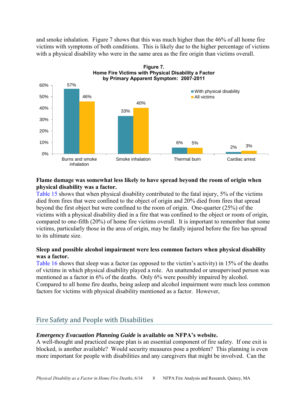<span id="page-16-0"></span>and smoke inhalation. Figure 7 shows that this was much higher than the 46% of all home fire victims with symptoms of both conditions. This is likely due to the higher percentage of victims with a physical disability who were in the same area as the fire origin than victims overall.



## **Flame damage was somewhat less likely to have spread beyond the room of origin when physical disability was a factor.**

[Table 15](#page-28-0) shows that when physical disability contributed to the fatal injury, 5% of the victims died from fires that were confined to the object of origin and 20% died from fires that spread beyond the first object but were confined to the room of origin. One-quarter (25%) of the victims with a physical disability died in a fire that was confined to the object or room of origin, compared to one-fifth (20%) of home fire victims overall. It is important to remember that some victims, particularly those in the area of origin, may be fatally injured before the fire has spread to its ultimate size.

## **Sleep and possible alcohol impairment were less common factors when physical disability was a factor.**

[Table 16](#page-29-0) shows that sleep was a factor (as opposed to the victim's activity) in 15% of the deaths of victims in which physical disability played a role. An unattended or unsupervised person was mentioned as a factor in 6% of the deaths. Only 6% were possibly impaired by alcohol. Compared to all home fire deaths, being asleep and alcohol impairment were much less common factors for victims with physical disability mentioned as a factor. However,

# Fire Safety and People with Disabilities

## *Emergency Evacuation Planning Guide* **is available on NFPA's website.**

A well-thought and practiced escape plan is an essential component of fire safety. If one exit is blocked, is another available? Would security measures pose a problem? This planning is even more important for people with disabilities and any caregivers that might be involved. Can the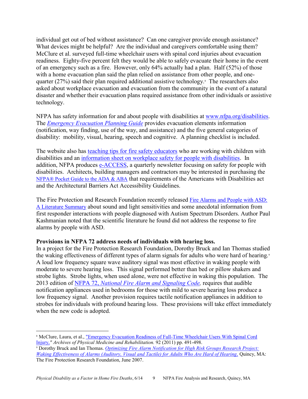individual get out of bed without assistance? Can one caregiver provide enough assistance? What devices might be helpful? Are the individual and caregivers comfortable using them? McClure et al. surveyed full-time wheelchair users with spinal cord injuries about evacuation readiness. Eighty-five percent felt they would be able to safely evacuate their home in the event of an emergency such as a fire. However, only 64% actually had a plan. Half (52%) of those with a home evacuation plan said the plan relied on assistance from other people, and onequarter (27%) said their plan required additional assistive technology.<sup>8</sup> The researchers also asked about workplace evacuation and evacuation from the community in the event of a natural disaster and whether their evacuation plans required assistance from other individuals or assistive technology.

NFPA has safety information for and about people with disabilities at [www.nfpa.org/disabilities.](http://www.nfpa.org/categoryList.asp?categoryID=824&order_src=C072&lid=C072) The *[Emergency Evacuation Planning Guide](http://www.nfpa.org/~/media/Files/Safety%20information/For%20consumers/Disabilities/evacuationguidePDF.pdf)* provides evacuation elements information (notification, way finding, use of the way, and assistance) and the five general categories of disability: mobility, visual, hearing, speech and cognitive. A planning checklist is included.

The website also has [teaching tips for fire safety educators](http://www.nfpa.org/safety-information/for-consumers/populations/people-with-disabilities/educational-materials) who are working with children with disabilities and an [information sheet on workplace safety for people with disabilities.](http://www.nfpa.org/safety-information/for-consumers/populations/people-with-disabilities/educational-materials) In addition, NFPA produces [e-ACCESS,](http://www.nfpa.org/safety-information/for-consumers/populations/people-with-disabilities/e-access-newsletter) a quarterly newsletter focusing on safety for people with disabilities. Architects, building managers and contractors may be interested in purchasing the [NFPA® Pocket Guide to the ADA & ABA](http://www.nfpa.org/catalog/product.asp?link_type=buy_box&pid=PGADA08&icid=A292) that requirements of the Americans with Disabilities act and the Architectural Barriers Act Accessibility Guidelines.

The Fire Protection and Research Foundation recently released [Fire Alarms and People with ASD:](http://www.nfpa.org/research/fire-protection-research-foundation/reports-and-proceedings/detection-and-signaling/fire-alarm-notification/fire-alarms-and-people-with-asd)  [A Literature Summary](http://www.nfpa.org/research/fire-protection-research-foundation/reports-and-proceedings/detection-and-signaling/fire-alarm-notification/fire-alarms-and-people-with-asd) about sound and light sensitivities and some anecdotal information from first responder interactions with people diagnosed with Autism Spectrum Disorders. Author Paul Kashmanian noted that the scientific literature he found did not address the response to fire alarms by people with ASD.

## **Provisions in NFPA 72 address needs of individuals with hearing loss.**

 $\overline{a}$ 

In a project for the Fire Protection Research Foundation, Dorothy Bruck and Ian Thomas studied the waking effectiveness of different types of alarm signals for adults who were hard of hearing.<sup>9</sup> A loud low frequency square wave auditory signal was most effective in waking people with moderate to severe hearing loss. This signal performed better than bed or pillow shakers and strobe lights. Strobe lights, when used alone, were not effective in waking this population. The 2013 edition of NFPA 72, *[National Fire Alarm and Signaling Code,](http://www.nfpa.org/aboutthecodes/AboutTheCodes.asp?DocNum=72&order_src=C072&lid=C072)* requires that audible notification appliances used in bedrooms for those with mild to severe hearing loss produce a low frequency signal. Another provision requires tactile notification appliances in addition to strobes for individuals with profound hearing loss. These provisions will take effect immediately when the new code is adopted.

<sup>8</sup> McClure, Laura, et al., ["Emergency Evacuation Readiness of Full-Time Wheelchair Users With Spinal Cord](http://www.archives-pmr.org/article/S0003-9993(10)00843-9/fulltext)  [Injury,](http://www.archives-pmr.org/article/S0003-9993(10)00843-9/fulltext)*" Archives of Physical Medicine and Rehabilitation.* 92 (2011) pp. 491-498. 9 Dorothy Bruck and Ian Thomas. *[Optimizing Fire Alarm Notification for High Risk Groups Research Project:](http://www.nfpa.org/assets/files/PDF/Research/hardofhearing&alarms.pdf)  [Waking Effectiveness of Alarms \(Auditory, Visual and Tactile\) for Adults Who Are Hard of Hearing,](http://www.nfpa.org/assets/files/PDF/Research/hardofhearing&alarms.pdf) Quincy, MA:* The Fire Protection Research Foundation, June 2007.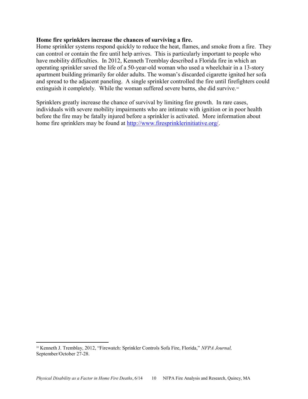## **Home fire sprinklers increase the chances of surviving a fire.**

Home sprinkler systems respond quickly to reduce the heat, flames, and smoke from a fire. They can control or contain the fire until help arrives. This is particularly important to people who have mobility difficulties. In 2012, Kenneth Tremblay described a Florida fire in which an operating sprinkler saved the life of a 50-year-old woman who used a wheelchair in a 13-story apartment building primarily for older adults. The woman's discarded cigarette ignited her sofa and spread to the adjacent paneling. A single sprinkler controlled the fire until firefighters could extinguish it completely. While the woman suffered severe burns, she did survive.<sup>10</sup>

Sprinklers greatly increase the chance of survival by limiting fire growth. In rare cases, individuals with severe mobility impairments who are intimate with ignition or in poor health before the fire may be fatally injured before a sprinkler is activated. More information about home fire sprinklers may be found at [http://www.firesprinklerinitiative.org/.](http://www.firesprinklerinitiative.org/?order_src=C072&lid=C072)

 $\overline{\phantom{a}}$ 

<sup>10</sup> Kenneth J. Tremblay, 2012, "Firewatch: Sprinkler Controls Sofa Fire, Florida," *NFPA Journal,* September/October 27-28.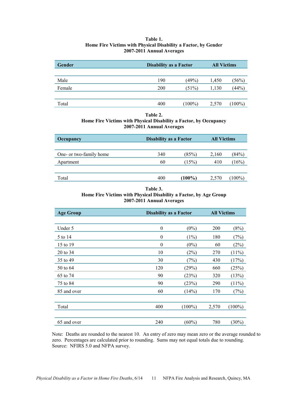#### **Table 1. Home Fire Victims with Physical Disability a Factor, by Gender 2007-2011 Annual Averages**

<span id="page-19-0"></span>

| Gender | <b>Disability as a Factor</b> |           | <b>All Victims</b> |           |  |
|--------|-------------------------------|-----------|--------------------|-----------|--|
|        |                               |           |                    |           |  |
| Male   | 190                           | $(49\%)$  | 1,450              | (56%)     |  |
| Female | 200                           | (51%)     | 1,130              | (44%)     |  |
|        |                               |           |                    |           |  |
| Total  | 400                           | $(100\%)$ | 2,570              | $(100\%)$ |  |

**Table 2.** 

#### **Home Fire Victims with Physical Disability a Factor, by Occupancy 2007-2011 Annual Averages**

| <b>Occupancy</b>        | <b>Disability as a Factor</b> |           | <b>All Victims</b> |        |  |
|-------------------------|-------------------------------|-----------|--------------------|--------|--|
|                         |                               |           |                    |        |  |
| One- or two-family home | 340                           | (85%)     | 2,160              | (84%)  |  |
| Apartment               | 60                            | (15%)     | 410                | (16%)  |  |
|                         |                               |           |                    |        |  |
| Total                   | 400                           | $(100\%)$ | 2,570              | (100%) |  |
|                         |                               |           |                    |        |  |

#### **Table 3. Home Fire Victims with Physical Disability a Factor, by Age Group 2007-2011 Annual Averages**

| <b>Age Group</b> |                  | <b>Disability as a Factor</b> |       | <b>All Victims</b> |
|------------------|------------------|-------------------------------|-------|--------------------|
|                  |                  |                               |       |                    |
| Under 5          | $\theta$         | $(0\%)$                       | 200   | (8%)               |
| 5 to 14          | $\theta$         | $(1\%)$                       | 180   | (7%)               |
| 15 to 19         | $\boldsymbol{0}$ | $(0\%)$                       | 60    | (2%)               |
| 20 to 34         | 10               | (2%)                          | 270   | $(11\%)$           |
| 35 to 49         | 30               | (7%)                          | 430   | (17%)              |
| 50 to 64         | 120              | (29%)                         | 660   | (25%)              |
| 65 to 74         | 90               | (23%)                         | 320   | (13%)              |
| 75 to 84         | 90               | (23%)                         | 290   | $(11\%)$           |
| 85 and over      | 60               | (14%)                         | 170   | (7%)               |
|                  |                  |                               |       |                    |
| Total            | 400              | $(100\%)$                     | 2,570 | $(100\%)$          |
|                  |                  |                               |       |                    |
| 65 and over      | 240              | $(60\%)$                      | 780   | $(30\%)$           |

Note: Deaths are rounded to the nearest 10. An entry of zero may mean zero or the average rounded to zero. Percentages are calculated prior to rounding. Sums may not equal totals due to rounding. Source: NFIRS 5.0 and NFPA survey.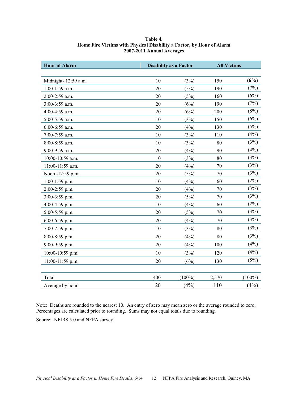| Table 4.                                                              |
|-----------------------------------------------------------------------|
| Home Fire Victims with Physical Disability a Factor, by Hour of Alarm |
| 2007-2011 Annual Averages                                             |

<span id="page-20-0"></span>

| <b>Hour of Alarm</b> |     | <b>Disability as a Factor</b> |       | <b>All Victims</b> |
|----------------------|-----|-------------------------------|-------|--------------------|
|                      |     |                               |       |                    |
| Midnight- 12:59 a.m. | 10  | (3%)                          | 150   | (6%)               |
| 1:00-1:59 a.m.       | 20  | (5%)                          | 190   | (7%)               |
| 2:00-2:59 a.m.       | 20  | (5%)                          | 160   | (6%)               |
| 3:00-3:59 a.m.       | 20  | (6%)                          | 190   | (7%)               |
| 4:00-4:59 a.m.       | 20  | (6%)                          | 200   | (8%)               |
| 5:00-5:59 a.m.       | 10  | (3%)                          | 150   | (6%)               |
| 6:00-6:59 a.m.       | 20  | (4%)                          | 130   | (5%)               |
| 7:00-7:59 a.m.       | 10  | (3%)                          | 110   | (4%)               |
| 8:00-8:59 a.m.       | 10  | (3%)                          | 80    | (3%)               |
| 9:00-9:59 a.m.       | 20  | (4%)                          | 90    | (4%)               |
| 10:00-10:59 a.m.     | 10  | (3%)                          | 80    | (3%)               |
| 11:00-11:59 a.m.     | 20  | (4%)                          | 70    | (3%)               |
| Noon -12:59 p.m.     | 20  | (5%)                          | 70    | (3%)               |
| 1:00-1:59 p.m.       | 10  | (4%)                          | 60    | (2%)               |
| $2:00-2:59$ p.m.     | 20  | (4%)                          | 70    | (3%)               |
| $3:00-3:59$ p.m.     | 20  | (5%)                          | 70    | (3%)               |
| 4:00-4:59 p.m.       | 10  | (4%)                          | 60    | (2%)               |
| 5:00-5:59 p.m.       | 20  | (5%)                          | 70    | (3%)               |
| $6:00-6:59$ p.m.     | 20  | (4%)                          | 70    | (3%)               |
| 7:00-7:59 p.m.       | 10  | (3%)                          | 80    | (3%)               |
| $8:00-8:59$ p.m.     | 20  | (4%)                          | 80    | (3%)               |
| 9:00-9:59 p.m.       | 20  | (4%)                          | 100   | (4%)               |
| 10:00-10:59 p.m.     | 10  | (3%)                          | 120   | (4%)               |
| 11:00-11:59 p.m.     | 20  | (6%)                          | 130   | (5%)               |
|                      |     |                               |       |                    |
| Total                | 400 | $(100\%)$                     | 2,570 | $(100\%)$          |
| Average by hour      | 20  | (4%)                          | 110   | (4%)               |

Note: Deaths are rounded to the nearest 10. An entry of zero may mean zero or the average rounded to zero. Percentages are calculated prior to rounding. Sums may not equal totals due to rounding.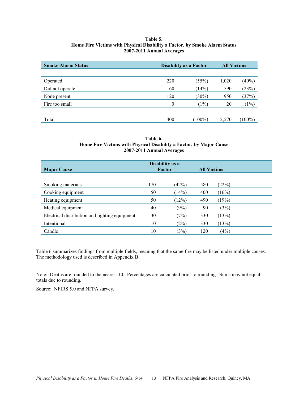#### **Table 5. Home Fire Victims with Physical Disability a Factor, by Smoke Alarm Status 2007-2011 Annual Averages**

<span id="page-21-0"></span>

| <b>Smoke Alarm Status</b> | <b>Disability as a Factor</b> |           | <b>All Victims</b> |           |
|---------------------------|-------------------------------|-----------|--------------------|-----------|
|                           |                               |           |                    |           |
| Operated                  | 220                           | (55%)     | 1,020              | $(40\%)$  |
| Did not operate           | 60                            | (14%)     | 590                | (23%)     |
| None present              | 120                           | $(30\%)$  | 950                | (37%)     |
| Fire too small            | 0                             | (1%)      | 20                 | (1%)      |
|                           |                               |           |                    |           |
| Total                     | 400                           | $(100\%)$ | 2,570              | $(100\%)$ |

#### **Table 6. Home Fire Victims with Physical Disability a Factor, by Major Cause 2007-2011 Annual Averages**

| <b>Major Cause</b>                             |     | Disability as a<br>Factor |     | <b>All Victims</b> |
|------------------------------------------------|-----|---------------------------|-----|--------------------|
|                                                |     |                           |     |                    |
| Smoking materials                              | 170 | (42%)                     | 580 | (22%)              |
| Cooking equipment                              | 50  | (14%)                     | 400 | (16%)              |
| Heating equipment                              | 50  | (12%)                     | 490 | (19%)              |
| Medical equipment                              | 40  | (9%)                      | 90  | (3%)               |
| Electrical distribution and lighting equipment | 30  | (7%)                      | 330 | (13%)              |
| Intentional                                    | 10  | (2%)                      | 330 | (13%)              |
| Candle                                         | 10  | (3%)                      | 120 | (4%)               |

Table 6 summarizes findings from multiple fields, meaning that the same fire may be listed under multiple causes. The methodology used is described in [Appendix B.](#page-38-0) 

Note: Deaths are rounded to the nearest 10. Percentages are calculated prior to rounding. Sums may not equal totals due to rounding.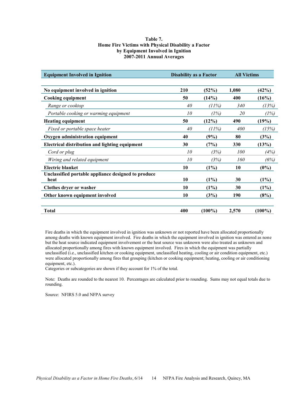#### **Table 7. Home Fire Victims with Physical Disability a Factor by Equipment Involved in Ignition 2007-2011 Annual Averages**

<span id="page-22-0"></span>

| <b>Equipment Involved in Ignition</b>                       | <b>Disability as a Factor</b> |           | <b>All Victims</b> |           |
|-------------------------------------------------------------|-------------------------------|-----------|--------------------|-----------|
| No equipment involved in ignition                           | 210                           | (52%)     | 1,080              | (42%)     |
| <b>Cooking equipment</b>                                    | 50                            | (14%)     | 400                | (16%)     |
| Range or cooktop                                            | 40                            | (11%)     | 340                | (13%)     |
| Portable cooking or warming equipment                       | 10                            | (1%)      | 20                 | (1%)      |
| <b>Heating equipment</b>                                    | 50                            | (12%)     | 490                | (19%)     |
| Fixed or portable space heater                              | 40                            | (11%)     | 400                | (15%)     |
| Oxygen administration equipment                             | 40                            | (9%)      | 80                 | (3%)      |
| <b>Electrical distribution and lighting equipment</b>       | 30                            | (7%)      | 330                | (13%)     |
| Cord or plug                                                | 10                            | (3%)      | 100                | (4%)      |
| Wiring and related equipment                                | 10                            | (3%)      | 160                | (6%)      |
| <b>Electric blanket</b>                                     | 10                            | $(1\%)$   | 10                 | $(0\%)$   |
| Unclassified portable appliance designed to produce<br>heat | 10                            | $(1\%)$   | 30                 | $(1\%)$   |
| Clothes dryer or washer                                     | 10                            | $(1\%)$   | 30                 | $(1\%)$   |
| Other known equipment involved                              | 10                            | (3%)      | 190                | (8%)      |
| Total                                                       | 400                           | $(100\%)$ | 2,570              | $(100\%)$ |

Fire deaths in which the equipment involved in ignition was unknown or not reported have been allocated proportionally among deaths with known equipment involved. Fire deaths in which the equipment involved in ignition was entered as none but the heat source indicated equipment involvement or the heat source was unknown were also treated as unknown and allocated proportionally among fires with known equipment involved. Fires in which the equipment was partially unclassified (i.e., unclassified kitchen or cooking equipment, unclassified heating, cooling or air condition equipment, etc.) were allocated proportionally among fires that grouping (kitchen or cooking equipment; heating, cooling or air conditioning equipment, etc.).

Categories or subcategories are shown if they account for 1% of the total.

Note: Deaths are rounded to the nearest 10. Percentages are calculated prior to rounding. Sums may not equal totals due to rounding.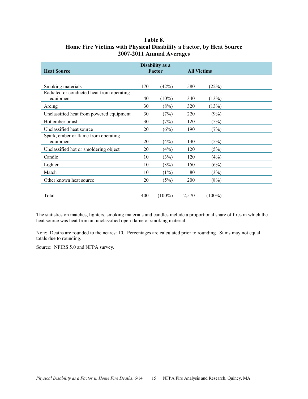<span id="page-23-0"></span>

| <b>Heat Source</b>                                     | Disability as a<br>Factor |           | <b>All Victims</b> |           |  |
|--------------------------------------------------------|---------------------------|-----------|--------------------|-----------|--|
|                                                        |                           |           |                    |           |  |
| Smoking materials                                      | 170                       | (42%)     | 580                | (22%)     |  |
| Radiated or conducted heat from operating<br>equipment | 40                        | $(10\%)$  | 340                | (13%)     |  |
| Arcing                                                 | 30                        | (8%)      | 320                | (13%)     |  |
| Unclassified heat from powered equipment               | 30                        | (7%)      | 220                | (9%)      |  |
| Hot ember or ash                                       | 30                        | (7%)      | 120                | (5%)      |  |
| Unclassified heat source                               | 20                        | (6%)      | 190                | (7%)      |  |
| Spark, ember or flame from operating<br>equipment      | 20                        | (4%)      | 130                | (5%)      |  |
| Unclassified hot or smoldering object                  | 20                        | (4%)      | 120                | (5%)      |  |
| Candle                                                 | 10                        | (3%)      | 120                | (4%)      |  |
| Lighter                                                | 10                        | (3%)      | 150                | (6%)      |  |
| Match                                                  | 10                        | $(1\%)$   | 80                 | (3%)      |  |
| Other known heat source                                | 20                        | (5%)      | 200                | (8%)      |  |
|                                                        |                           |           |                    |           |  |
| Total                                                  | 400                       | $(100\%)$ | 2,570              | $(100\%)$ |  |

## **Table 8. Home Fire Victims with Physical Disability a Factor, by Heat Source 2007-2011 Annual Averages**

The statistics on matches, lighters, smoking materials and candles include a proportional share of fires in which the heat source was heat from an unclassified open flame or smoking material.

Note: Deaths are rounded to the nearest 10. Percentages are calculated prior to rounding. Sums may not equal totals due to rounding.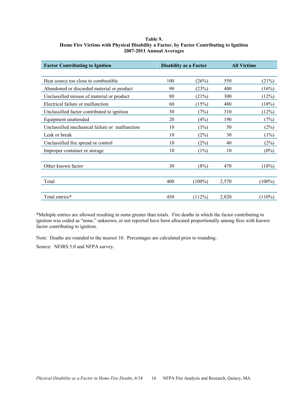#### <span id="page-24-0"></span>**Table 9. Home Fire Victims with Physical Disability a Factor, by Factor Contributing to Ignition 2007-2011 Annual Averages**

| <b>Factor Contributing to Ignition</b>         | <b>Disability as a Factor</b> |           |       | <b>All Victims</b> |  |
|------------------------------------------------|-------------------------------|-----------|-------|--------------------|--|
|                                                |                               |           |       |                    |  |
| Heat source too close to combustible.          | 100                           | (26%)     | 550   | (21%)              |  |
| Abandoned or discarded material or product     | 90                            | (23%)     | 400   | (16%)              |  |
| Unclassified misuse of material or product     | 80                            | $(21\%)$  | 300   | (12%)              |  |
| Electrical failure or malfunction              | 60                            | (15%)     | 480   | (18%)              |  |
| Unclassified factor contributed to ignition    | 30                            | (7%)      | 310   | (12%)              |  |
| Equipment unattended                           | 20                            | (4%)      | 190   | (7%)               |  |
| Unclassified mechanical failure or malfunction | 10                            | (3%)      | 50    | (2%)               |  |
| Leak or break                                  | 10                            | (2%)      | 30    | (1%)               |  |
| Unclassified fire spread or control            | 10                            | (2%)      | 40    | (2%)               |  |
| Improper container or storage                  | 10                            | (1%)      | 10    | $(0\%)$            |  |
|                                                |                               |           |       |                    |  |
| Other known factor                             | 30                            | (8%)      | 470   | (18%)              |  |
|                                                |                               |           |       |                    |  |
| Total                                          | 400                           | $(100\%)$ | 2,570 | $(100\%)$          |  |
|                                                |                               |           |       |                    |  |
| Total entries*                                 | 450                           | (112%)    | 2,820 | $(110\%)$          |  |

\*Multiple entries are allowed resulting in sums greater than totals. Fire deaths in which the factor contributing to ignition was coded as "none," unknown, or not reported have been allocated proportionally among fires with known factor contributing to ignition.

Note: Deaths are rounded to the nearest 10. Percentages are calculated prior to rounding.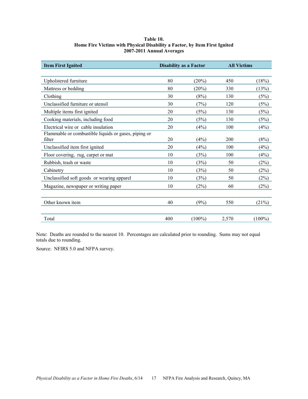<span id="page-25-0"></span>

| 2007-2011 Annual Averages                                      |                               |          |                    |       |  |  |  |
|----------------------------------------------------------------|-------------------------------|----------|--------------------|-------|--|--|--|
| <b>Item First Ignited</b>                                      | <b>Disability as a Factor</b> |          | <b>All Victims</b> |       |  |  |  |
| Upholstered furniture                                          | 80                            | (20%)    | 450                | (18%) |  |  |  |
| Mattress or bedding                                            | 80                            | $(20\%)$ | 330                | (13%) |  |  |  |
| Clothing                                                       | 30                            | (8%)     | 130                | (5%)  |  |  |  |
| Unclassified furniture or utensil                              | 30                            | (7%)     | 120                | (5%)  |  |  |  |
| Multiple items first ignited                                   | 20                            | (5%)     | 130                | (5%)  |  |  |  |
| Cooking materials, including food                              | 20                            | (5%)     | 130                | (5%)  |  |  |  |
| Electrical wire or cable insulation                            | 20                            | (4%)     | 100                | (4%)  |  |  |  |
| Flammable or combustible liquids or gases, piping or<br>filter | 20                            | (4%)     | 200                | (8%)  |  |  |  |

Unclassified item first ignited 20 (4%) 100 (4%) Floor covering, rug, carpet or mat  $10$   $(3%)$   $100$   $(4%)$ Rubbish, trash or waste  $10$  (3%) 50 (2%) Cabinetry  $10 \t(3%) \t 50 \t(2%)$ Unclassified soft goods or wearing apparel 10 (3%) 50 (2%) Magazine, newspaper or writing paper 10 (2%) 60 (2%)

Other known item  $40 \t(9\%)$  550 (21%)

Total  $400$   $(100\%)$   $2,570$   $(100\%)$ 

#### **Table 10. Home Fire Victims with Physical Disability a Factor, by Item First Ignited 2007-2011 Annual Averages**

Note: Deaths are rounded to the nearest 10. Percentages are calculated prior to rounding. Sums may not equal totals due to rounding.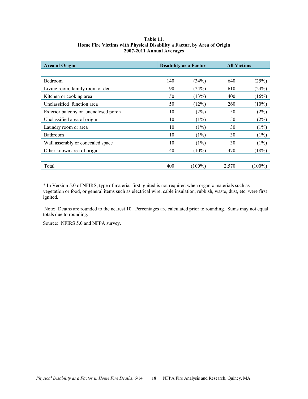<span id="page-26-0"></span>

| <b>Area of Origin</b>                | <b>Disability as a Factor</b> |           | <b>All Victims</b> |           |
|--------------------------------------|-------------------------------|-----------|--------------------|-----------|
|                                      |                               |           |                    |           |
| Bedroom                              | 140                           | (34%)     | 640                | (25%)     |
| Living room, family room or den      | 90                            | (24%)     | 610                | (24%)     |
| Kitchen or cooking area              | 50                            | (13%)     | 400                | (16%)     |
| Unclassified function area           | 50                            | (12%)     | 260                | $(10\%)$  |
| Exterior balcony or unenclosed porch | 10                            | (2%)      | 50                 | (2%)      |
| Unclassified area of origin          | 10                            | (1%)      | 50                 | (2%)      |
| Laundry room or area                 | 10                            | (1%)      | 30                 | (1%)      |
| Bathroom                             | 10                            | (1%)      | 30                 | (1%)      |
| Wall assembly or concealed space     | 10                            | (1%)      | 30                 | (1%)      |
| Other known area of origin           | 40                            | $(10\%)$  | 470                | (18%)     |
|                                      |                               |           |                    |           |
| Total                                | 400                           | $(100\%)$ | 2,570              | $(100\%)$ |

#### **Table 11. Home Fire Victims with Physical Disability a Factor, by Area of Origin 2007-2011 Annual Averages**

\* In Version 5.0 of NFIRS, type of material first ignited is not required when organic materials such as vegetation or food, or general items such as electrical wire, cable insulation, rubbish, waste, dust, etc. were first ignited.

 Note: Deaths are rounded to the nearest 10. Percentages are calculated prior to rounding. Sums may not equal totals due to rounding.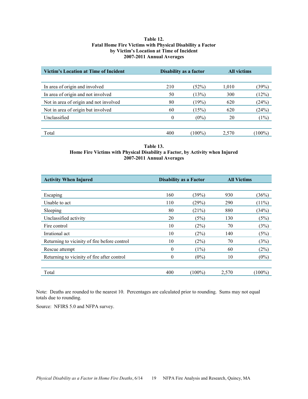#### **Table 12. Fatal Home Fire Victims with Physical Disability a Factor by Victim's Location at Time of Incident 2007-2011 Annual Averages**

<span id="page-27-0"></span>

| <b>Victim's Location at Time of Incident</b> | Disability as a factor |           | <b>All victims</b> |        |
|----------------------------------------------|------------------------|-----------|--------------------|--------|
|                                              |                        |           |                    |        |
| In area of origin and involved               | 210                    | (52%)     | 1,010              | (39%)  |
| In area of origin and not involved           | 50                     | (13%)     | 300                | (12%)  |
| Not in area of origin and not involved       | 80                     | (19%)     | 620                | (24%)  |
| Not in area of origin but involved           | 60                     | (15%)     | 620                | (24%)  |
| Unclassified                                 | $\theta$               | $(0\%)$   | 20                 | (1%)   |
|                                              |                        |           |                    |        |
| Total                                        | 400                    | $(100\%)$ | 2,570              | (100%) |

#### **Table 13. Home Fire Victims with Physical Disability a Factor, by Activity when Injured 2007-2011 Annual Averages**

| <b>Activity When Injured</b>                 | <b>Disability as a Factor</b> |           | <b>All Victims</b> |           |
|----------------------------------------------|-------------------------------|-----------|--------------------|-----------|
|                                              |                               |           |                    |           |
| Escaping                                     | 160                           | (39%)     | 930                | (36%)     |
| Unable to act                                | 110                           | (29%)     | 290                | $(11\%)$  |
| Sleeping                                     | 80                            | (21%)     | 880                | (34%)     |
| Unclassified activity                        | 20                            | (5%)      | 130                | (5%)      |
| Fire control                                 | 10                            | (2%)      | 70                 | (3%)      |
| Irrational act                               | 10                            | (2%)      | 140                | (5%)      |
| Returning to vicinity of fire before control | 10                            | (2%)      | 70                 | (3%)      |
| Rescue attempt                               | $\overline{0}$                | $(1\%)$   | 60                 | (2%)      |
| Returning to vicinity of fire after control  | $\theta$                      | $(0\%)$   | 10                 | $(0\%)$   |
|                                              |                               |           |                    |           |
| Total                                        | 400                           | $(100\%)$ | 2,570              | $(100\%)$ |

Note: Deaths are rounded to the nearest 10. Percentages are calculated prior to rounding. Sums may not equal totals due to rounding.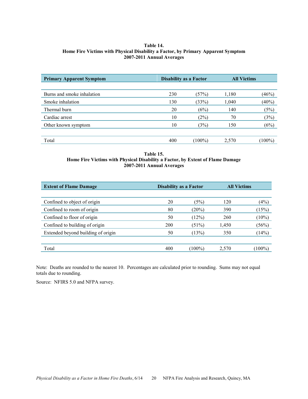#### <span id="page-28-0"></span>**Table 14. Home Fire Victims with Physical Disability a Factor, by Primary Apparent Symptom 2007-2011 Annual Averages**

| <b>Primary Apparent Symptom</b> | <b>Disability as a Factor</b> |           | <b>All Victims</b> |         |
|---------------------------------|-------------------------------|-----------|--------------------|---------|
|                                 |                               |           |                    |         |
| Burns and smoke inhalation      | 230                           | (57%)     | 1,180              | (46%)   |
| Smoke inhalation                | 130                           | (33%)     | 1,040              | (40%)   |
| Thermal burn                    | 20                            | (6%)      | 140                | (5%)    |
| Cardiac arrest                  | 10                            | (2%)      | 70                 | (3%)    |
| Other known symptom             | 10                            | (3%)      | 150                | (6%)    |
|                                 |                               |           |                    |         |
| Total                           | 400                           | $(100\%)$ | 2,570              | $100\%$ |

**Table 15. Home Fire Victims with Physical Disability a Factor, by Extent of Flame Damage 2007-2011 Annual Averages** 

| <b>Extent of Flame Damage</b>      | <b>Disability as a Factor</b> |           | <b>All Victims</b> |           |
|------------------------------------|-------------------------------|-----------|--------------------|-----------|
|                                    |                               |           |                    |           |
| Confined to object of origin       | 20                            | (5%)      | 120                | (4%)      |
| Confined to room of origin         | 80                            | $(20\%)$  | 390                | (15%)     |
| Confined to floor of origin        | 50                            | (12%)     | 260                | $(10\%)$  |
| Confined to building of origin     | 200                           | $(51\%)$  | 1,450              | (56%)     |
| Extended beyond building of origin | 50                            | (13%)     | 350                | (14%)     |
|                                    |                               |           |                    |           |
| Total                              | 400                           | $(100\%)$ | 2,570              | $(100\%)$ |

Note: Deaths are rounded to the nearest 10. Percentages are calculated prior to rounding. Sums may not equal totals due to rounding.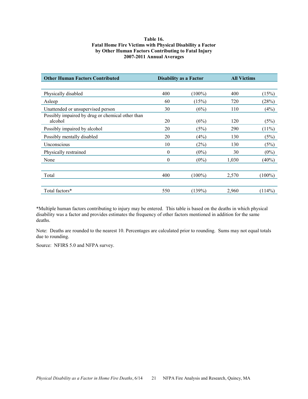#### **Table 16. Fatal Home Fire Victims with Physical Disability a Factor by Other Human Factors Contributing to Fatal Injury 2007-2011 Annual Averages**

<span id="page-29-0"></span>

| <b>Other Human Factors Contributed</b>           | <b>Disability as a Factor</b> |           | <b>All Victims</b> |           |
|--------------------------------------------------|-------------------------------|-----------|--------------------|-----------|
|                                                  |                               |           |                    |           |
| Physically disabled                              | 400                           | $(100\%)$ | 400                | (15%)     |
| Asleep                                           | 60                            | (15%)     | 720                | (28%)     |
| Unattended or unsupervised person                | 30                            | (6%)      | 110                | (4%)      |
| Possibly impaired by drug or chemical other than |                               |           |                    |           |
| alcohol                                          | 20                            | (6%)      | 120                | (5%)      |
| Possibly impaired by alcohol                     | 20                            | (5%)      | 290                | $(11\%)$  |
| Possibly mentally disabled                       | 20                            | (4%)      | 130                | (5%)      |
| Unconscious                                      | 10                            | (2%)      | 130                | (5%)      |
| Physically restrained                            | $\mathbf{0}$                  | $(0\%)$   | 30                 | $(0\%)$   |
| None                                             | $\boldsymbol{0}$              | $(0\%)$   | 1,030              | $(40\%)$  |
|                                                  |                               |           |                    |           |
| Total                                            | 400                           | $(100\%)$ | 2,570              | $(100\%)$ |
|                                                  |                               |           |                    |           |
| Total factors*                                   | 550                           | (139%)    | 2,960              | (114%)    |

\*Multiple human factors contributing to injury may be entered. This table is based on the deaths in which physical disability was a factor and provides estimates the frequency of other factors mentioned in addition for the same deaths.

Note: Deaths are rounded to the nearest 10. Percentages are calculated prior to rounding. Sums may not equal totals due to rounding.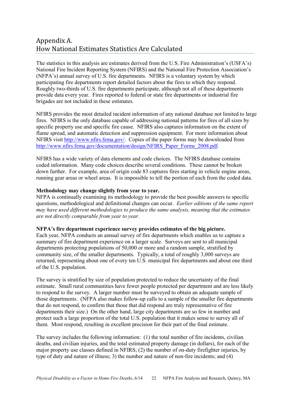# <span id="page-30-0"></span>Appendix A. How National Estimates Statistics Are Calculated

The statistics in this analysis are estimates derived from the U.S. Fire Administration's (USFA's) National Fire Incident Reporting System (NFIRS) and the National Fire Protection Association's (NFPA's) annual survey of U.S. fire departments. NFIRS is a voluntary system by which participating fire departments report detailed factors about the fires to which they respond. Roughly two-thirds of U.S. fire departments participate, although not all of these departments provide data every year. Fires reported to federal or state fire departments or industrial fire brigades are not included in these estimates.

NFIRS provides the most detailed incident information of any national database not limited to large fires. NFIRS is the only database capable of addressing national patterns for fires of all sizes by specific property use and specific fire cause. NFIRS also captures information on the extent of flame spread, and automatic detection and suppression equipment. For more information about NFIRS visit [http://www.nfirs.fema.gov/.](http://www.nfirs.fema.gov/) Copies of the paper forms may be downloaded from [http://www.nfirs.fema.gov/documentation/design/NFIRS\\_Paper\\_Forms\\_2008.pdf.](http://www.nfirs.fema.gov/documentation/design/NFIRS_Paper_Forms_2008.pdf)

NFIRS has a wide variety of data elements and code choices. The NFIRS database contains coded information. Many code choices describe several conditions. These cannot be broken down further. For example, area of origin code 83 captures fires starting in vehicle engine areas, running gear areas or wheel areas. It is impossible to tell the portion of each from the coded data.

#### **Methodology may change slightly from year to year.**

NFPA is continually examining its methodology to provide the best possible answers to specific questions, methodological and definitional changes can occur. *Earlier editions of the same report may have used different methodologies to produce the same analysis, meaning that the estimates are not directly comparable from year to year.* 

#### **NFPA's fire department experience survey provides estimates of the big picture.**

Each year, NFPA conducts an annual survey of fire departments which enables us to capture a summary of fire department experience on a larger scale. Surveys are sent to all municipal departments protecting populations of 50,000 or more and a random sample, stratified by community size, of the smaller departments. Typically, a total of roughly 3,000 surveys are returned, representing about one of every ten U.S. municipal fire departments and about one third of the U.S. population.

The survey is stratified by size of population protected to reduce the uncertainty of the final estimate. Small rural communities have fewer people protected per department and are less likely to respond to the survey. A larger number must be surveyed to obtain an adequate sample of those departments. (NFPA also makes follow-up calls to a sample of the smaller fire departments that do not respond, to confirm that those that did respond are truly representative of fire departments their size.) On the other hand, large city departments are so few in number and protect such a large proportion of the total U.S. population that it makes sense to survey all of them. Most respond, resulting in excellent precision for their part of the final estimate.

The survey includes the following information: (1) the total number of fire incidents, civilian deaths, and civilian injuries, and the total estimated property damage (in dollars), for each of the major property use classes defined in NFIRS; (2) the number of on-duty firefighter injuries, by type of duty and nature of illness; 3) the number and nature of non-fire incidents; and (4)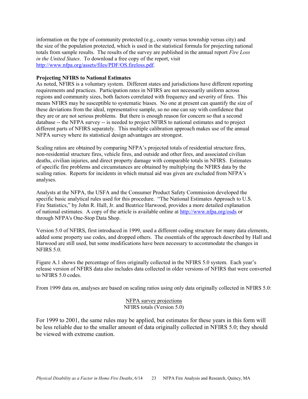information on the type of community protected (e.g., county versus township versus city) and the size of the population protected, which is used in the statistical formula for projecting national totals from sample results. The results of the survey are published in the annual report *Fire Loss in the United States*. To download a free copy of the report, visit [http://www.nfpa.org/assets/files/PDF/OS.fireloss.pdf.](http://www.nfpa.org/assets/files/PDF/OS.fireloss.pdf)

#### **Projecting NFIRS to National Estimates**

As noted, NFIRS is a voluntary system. Different states and jurisdictions have different reporting requirements and practices. Participation rates in NFIRS are not necessarily uniform across regions and community sizes, both factors correlated with frequency and severity of fires. This means NFIRS may be susceptible to systematic biases. No one at present can quantify the size of these deviations from the ideal, representative sample, so no one can say with confidence that they are or are not serious problems. But there is enough reason for concern so that a second database -- the NFPA survey -- is needed to project NFIRS to national estimates and to project different parts of NFIRS separately. This multiple calibration approach makes use of the annual NFPA survey where its statistical design advantages are strongest.

Scaling ratios are obtained by comparing NFPA's projected totals of residential structure fires, non-residential structure fires, vehicle fires, and outside and other fires, and associated civilian deaths, civilian injuries, and direct property damage with comparable totals in NFIRS. Estimates of specific fire problems and circumstances are obtained by multiplying the NFIRS data by the scaling ratios. Reports for incidents in which mutual aid was given are excluded from NFPA's analyses.

Analysts at the NFPA, the USFA and the Consumer Product Safety Commission developed the specific basic analytical rules used for this procedure. "The National Estimates Approach to U.S. Fire Statistics," by John R. Hall, Jr. and Beatrice Harwood, provides a more detailed explanation of national estimates. A copy of the article is available online at<http://www.nfpa.org/osds>or through NFPA's One-Stop Data Shop.

Version 5.0 of NFIRS, first introduced in 1999, used a different coding structure for many data elements, added some property use codes, and dropped others. The essentials of the approach described by Hall and Harwood are still used, but some modifications have been necessary to accommodate the changes in NFIRS 5.0.

Figure A.1 shows the percentage of fires originally collected in the NFIRS 5.0 system. Each year's release version of NFIRS data also includes data collected in older versions of NFIRS that were converted to NFIRS 5.0 codes.

From 1999 data on, analyses are based on scaling ratios using only data originally collected in NFIRS 5.0:

NFPA survey projections NFIRS totals (Version 5.0)

For 1999 to 2001, the same rules may be applied, but estimates for these years in this form will be less reliable due to the smaller amount of data originally collected in NFIRS 5.0; they should be viewed with extreme caution.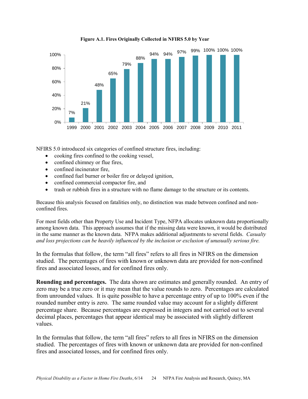

**Figure A.1. Fires Originally Collected in NFIRS 5.0 by Year** 

NFIRS 5.0 introduced six categories of confined structure fires, including:

- cooking fires confined to the cooking vessel,
- confined chimney or flue fires,
- confined incinerator fire,
- confined fuel burner or boiler fire or delayed ignition,
- confined commercial compactor fire, and
- trash or rubbish fires in a structure with no flame damage to the structure or its contents.

Because this analysis focused on fatalities only, no distinction was made between confined and nonconfined fires.

For most fields other than Property Use and Incident Type, NFPA allocates unknown data proportionally among known data. This approach assumes that if the missing data were known, it would be distributed in the same manner as the known data. NFPA makes additional adjustments to several fields. *Casualty and loss projections can be heavily influenced by the inclusion or exclusion of unusually serious fire.* 

In the formulas that follow, the term "all fires" refers to all fires in NFIRS on the dimension studied. The percentages of fires with known or unknown data are provided for non-confined fires and associated losses, and for confined fires only.

**Rounding and percentages.** The data shown are estimates and generally rounded. An entry of zero may be a true zero or it may mean that the value rounds to zero. Percentages are calculated from unrounded values. It is quite possible to have a percentage entry of up to 100% even if the rounded number entry is zero. The same rounded value may account for a slightly different percentage share. Because percentages are expressed in integers and not carried out to several decimal places, percentages that appear identical may be associated with slightly different values.

In the formulas that follow, the term "all fires" refers to all fires in NFIRS on the dimension studied. The percentages of fires with known or unknown data are provided for non-confined fires and associated losses, and for confined fires only.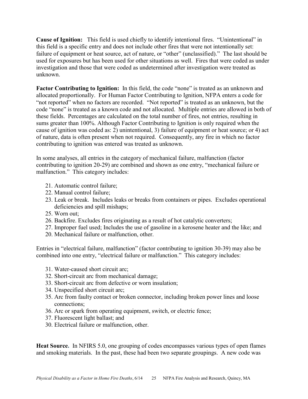**Cause of Ignition:** This field is used chiefly to identify intentional fires. "Unintentional" in this field is a specific entry and does not include other fires that were not intentionally set: failure of equipment or heat source, act of nature, or "other" (unclassified)." The last should be used for exposures but has been used for other situations as well. Fires that were coded as under investigation and those that were coded as undetermined after investigation were treated as unknown.

Factor Contributing to Ignition: In this field, the code "none" is treated as an unknown and allocated proportionally. For Human Factor Contributing to Ignition, NFPA enters a code for "not reported" when no factors are recorded. "Not reported" is treated as an unknown, but the code "none" is treated as a known code and not allocated. Multiple entries are allowed in both of these fields. Percentages are calculated on the total number of fires, not entries, resulting in sums greater than 100%. Although Factor Contributing to Ignition is only required when the cause of ignition was coded as: 2) unintentional, 3) failure of equipment or heat source; or 4) act of nature, data is often present when not required. Consequently, any fire in which no factor contributing to ignition was entered was treated as unknown.

In some analyses, all entries in the category of mechanical failure, malfunction (factor contributing to ignition 20-29) are combined and shown as one entry, "mechanical failure or malfunction." This category includes:

- 21. Automatic control failure;
- 22. Manual control failure;
- 23. Leak or break. Includes leaks or breaks from containers or pipes. Excludes operational deficiencies and spill mishaps;
- 25. Worn out;
- 26. Backfire. Excludes fires originating as a result of hot catalytic converters;
- 27. Improper fuel used; Includes the use of gasoline in a kerosene heater and the like; and
- 20. Mechanical failure or malfunction, other.

Entries in "electrical failure, malfunction" (factor contributing to ignition 30-39) may also be combined into one entry, "electrical failure or malfunction." This category includes:

- 31. Water-caused short circuit arc;
- 32. Short-circuit arc from mechanical damage;
- 33. Short-circuit arc from defective or worn insulation;
- 34. Unspecified short circuit arc;
- 35. Arc from faulty contact or broken connector, including broken power lines and loose connections;
- 36. Arc or spark from operating equipment, switch, or electric fence;
- 37. Fluorescent light ballast; and
- 30. Electrical failure or malfunction, other.

**Heat Source.** In NFIRS 5.0, one grouping of codes encompasses various types of open flames and smoking materials. In the past, these had been two separate groupings. A new code was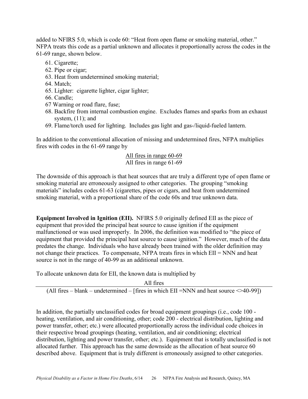added to NFIRS 5.0, which is code 60: "Heat from open flame or smoking material, other." NFPA treats this code as a partial unknown and allocates it proportionally across the codes in the 61-69 range, shown below.

- 61. Cigarette;
- 62. Pipe or cigar;
- 63. Heat from undetermined smoking material;
- 64. Match;
- 65. Lighter: cigarette lighter, cigar lighter;
- 66. Candle;
- 67 Warning or road flare, fuse;
- 68. Backfire from internal combustion engine. Excludes flames and sparks from an exhaust system, (11); and
- 69. Flame/torch used for lighting. Includes gas light and gas-/liquid-fueled lantern.

In addition to the conventional allocation of missing and undetermined fires, NFPA multiplies fires with codes in the 61-69 range by

## All fires in range 60-69 All fires in range 61-69

The downside of this approach is that heat sources that are truly a different type of open flame or smoking material are erroneously assigned to other categories. The grouping "smoking materials" includes codes 61-63 (cigarettes, pipes or cigars, and heat from undetermined smoking material, with a proportional share of the code 60s and true unknown data.

**Equipment Involved in Ignition (EII).** NFIRS 5.0 originally defined EII as the piece of equipment that provided the principal heat source to cause ignition if the equipment malfunctioned or was used improperly. In 2006, the definition was modified to "the piece of equipment that provided the principal heat source to cause ignition." However, much of the data predates the change. Individuals who have already been trained with the older definition may not change their practices. To compensate, NFPA treats fires in which EII = NNN and heat source is not in the range of 40-99 as an additional unknown.

To allocate unknown data for EII, the known data is multiplied by

All fires

(All fires – blank – undetermined – [fires in which EII =NNN and heat source  $\leq$ 40-99])

In addition, the partially unclassified codes for broad equipment groupings (i.e., code 100 heating, ventilation, and air conditioning, other; code 200 - electrical distribution, lighting and power transfer, other; etc.) were allocated proportionally across the individual code choices in their respective broad groupings (heating, ventilation, and air conditioning; electrical distribution, lighting and power transfer, other; etc.). Equipment that is totally unclassified is not allocated further. This approach has the same downside as the allocation of heat source 60 described above. Equipment that is truly different is erroneously assigned to other categories.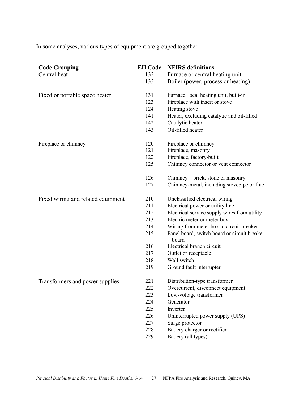In some analyses, various types of equipment are grouped together.

| <b>Code Grouping</b><br>Central heat | <b>EII</b> Code<br>132<br>133 | <b>NFIRS</b> definitions<br>Furnace or central heating unit<br>Boiler (power, process or heating) |
|--------------------------------------|-------------------------------|---------------------------------------------------------------------------------------------------|
| Fixed or portable space heater       | 131                           | Furnace, local heating unit, built-in                                                             |
|                                      | 123                           | Fireplace with insert or stove                                                                    |
|                                      | 124                           | Heating stove                                                                                     |
|                                      | 141                           | Heater, excluding catalytic and oil-filled                                                        |
|                                      | 142                           | Catalytic heater                                                                                  |
|                                      | 143                           | Oil-filled heater                                                                                 |
| Fireplace or chimney                 | 120                           | Fireplace or chimney                                                                              |
|                                      | 121                           | Fireplace, masonry                                                                                |
|                                      | 122                           | Fireplace, factory-built                                                                          |
|                                      | 125                           | Chimney connector or vent connector                                                               |
|                                      | 126                           | Chimney – brick, stone or masonry                                                                 |
|                                      | 127                           | Chimney-metal, including stovepipe or flue                                                        |
| Fixed wiring and related equipment   | 210                           | Unclassified electrical wiring                                                                    |
|                                      | 211                           | Electrical power or utility line                                                                  |
|                                      | 212                           | Electrical service supply wires from utility                                                      |
|                                      | 213                           | Electric meter or meter box                                                                       |
|                                      | 214                           | Wiring from meter box to circuit breaker                                                          |
|                                      | 215                           | Panel board, switch board or circuit breaker<br>board                                             |
|                                      | 216                           | Electrical branch circuit                                                                         |
|                                      | 217                           | Outlet or receptacle                                                                              |
|                                      | 218                           | Wall switch                                                                                       |
|                                      | 219                           | Ground fault interrupter                                                                          |
| Transformers and power supplies      | 221                           | Distribution-type transformer                                                                     |
|                                      | 222                           | Overcurrent, disconnect equipment                                                                 |
|                                      | 223                           | Low-voltage transformer                                                                           |
|                                      | 224                           | Generator                                                                                         |
|                                      | 225                           | Inverter                                                                                          |
|                                      | 226                           | Uninterrupted power supply (UPS)                                                                  |
|                                      | 227                           | Surge protector                                                                                   |
|                                      | 228                           | Battery charger or rectifier                                                                      |
|                                      | 229                           | Battery (all types)                                                                               |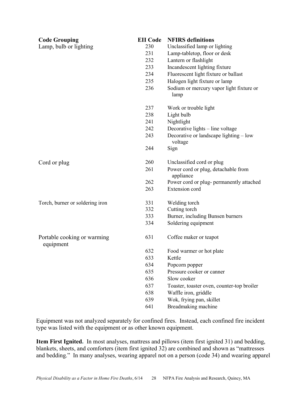| <b>Code Grouping</b>                     | <b>EII</b> Code | <b>NFIRS</b> definitions                          |
|------------------------------------------|-----------------|---------------------------------------------------|
| Lamp, bulb or lighting                   | 230             | Unclassified lamp or lighting                     |
|                                          | 231             | Lamp-tabletop, floor or desk                      |
|                                          | 232             | Lantern or flashlight                             |
|                                          | 233             | Incandescent lighting fixture                     |
|                                          | 234             | Fluorescent light fixture or ballast              |
|                                          | 235             | Halogen light fixture or lamp                     |
|                                          | 236             | Sodium or mercury vapor light fixture or<br>lamp  |
|                                          | 237             | Work or trouble light                             |
|                                          | 238             | Light bulb                                        |
|                                          | 241             | Nightlight                                        |
|                                          | 242             | Decorative lights – line voltage                  |
|                                          | 243             | Decorative or landscape lighting – low<br>voltage |
|                                          | 244             | Sign                                              |
| Cord or plug                             | 260             | Unclassified cord or plug                         |
|                                          | 261             | Power cord or plug, detachable from<br>appliance  |
|                                          | 262             | Power cord or plug- permanently attached          |
|                                          | 263             | <b>Extension</b> cord                             |
| Torch, burner or soldering iron          | 331             | Welding torch                                     |
|                                          | 332             | Cutting torch                                     |
|                                          | 333             | Burner, including Bunsen burners                  |
|                                          | 334             | Soldering equipment                               |
| Portable cooking or warming<br>equipment | 631             | Coffee maker or teapot                            |
|                                          | 632             | Food warmer or hot plate                          |
|                                          | 633             | Kettle                                            |
|                                          | 634             | Popcorn popper                                    |
|                                          | 635             | Pressure cooker or canner                         |
|                                          | 636             | Slow cooker                                       |
|                                          | 637             | Toaster, toaster oven, counter-top broiler        |
|                                          | 638             | Waffle iron, griddle                              |
|                                          | 639             | Wok, frying pan, skillet                          |
|                                          | 641             | Breadmaking machine                               |

Equipment was not analyzed separately for confined fires. Instead, each confined fire incident type was listed with the equipment or as other known equipment.

**Item First Ignited.** In most analyses, mattress and pillows (item first ignited 31) and bedding, blankets, sheets, and comforters (item first ignited 32) are combined and shown as "mattresses and bedding." In many analyses, wearing apparel not on a person (code 34) and wearing apparel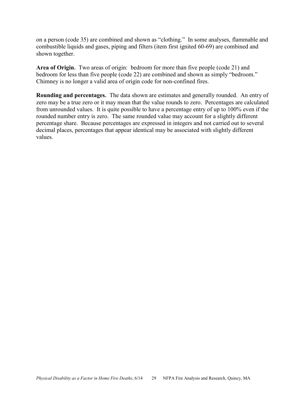on a person (code 35) are combined and shown as "clothing." In some analyses, flammable and combustible liquids and gases, piping and filters (item first ignited 60-69) are combined and shown together.

**Area of Origin.** Two areas of origin: bedroom for more than five people (code 21) and bedroom for less than five people (code 22) are combined and shown as simply "bedroom." Chimney is no longer a valid area of origin code for non-confined fires.

**Rounding and percentages.** The data shown are estimates and generally rounded. An entry of zero may be a true zero or it may mean that the value rounds to zero. Percentages are calculated from unrounded values. It is quite possible to have a percentage entry of up to 100% even if the rounded number entry is zero. The same rounded value may account for a slightly different percentage share. Because percentages are expressed in integers and not carried out to several decimal places, percentages that appear identical may be associated with slightly different values.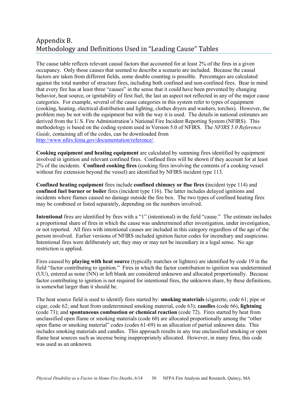# <span id="page-38-0"></span>Appendix B. Methodology and Definitions Used in "Leading Cause" Tables

The cause table reflects relevant causal factors that accounted for at least 2% of the fires in a given occupancy. Only those causes that seemed to describe a scenario are included. Because the causal factors are taken from different fields, some double counting is possible. Percentages are calculated against the total number of structure fires, including both confined and non-confined fires. Bear in mind that every fire has at least three "causes" in the sense that it could have been prevented by changing behavior, heat source, or ignitability of first fuel, the last an aspect not reflected in any of the major cause categories. For example, several of the cause categories in this system refer to types of equipment (cooking, heating, electrical distribution and lighting, clothes dryers and washers, torches). However, the problem may be not with the equipment but with the way it is used. The details in national estimates are derived from the U.S. Fire Administration's National Fire Incident Reporting System (NFIRS). This methodology is based on the coding system used in Version 5.0 of NFIRS. The *NFIRS 5.0 Reference Guide*, containing all of the codes, can be downloaded from [http://www.nfirs.fema.gov/documentation/reference/.](http://www.nfirs.fema.gov/documentation/reference/)

**Cooking equipment and heating equipment** are calculated by summing fires identified by equipment involved in ignition and relevant confined fires. Confined fires will be shown if they account for at least 2% of the incidents. **Confined cooking fires** (cooking fires involving the contents of a cooking vessel without fire extension beyond the vessel) are identified by NFIRS incident type 113.

**Confined heating equipment** fires include **confined chimney or flue fires (**incident type 114) and **confined fuel burner or boiler** fires (incident type 116). The latter includes delayed ignitions and incidents where flames caused no damage outside the fire box. The two types of confined heating fires may be combined or listed separately, depending on the numbers involved.

**Intentional** fires are identified by fires with a "1" (intentional) in the field "cause." The estimate includes a proportional share of fires in which the cause was undetermined after investigation, under investigation, or not reported. All fires with intentional causes are included in this category regardless of the age of the person involved. Earlier versions of NFIRS included ignition factor codes for incendiary and suspicious. Intentional fires were deliberately set; they may or may not be incendiary in a legal sense. No age restriction is applied.

Fires caused by **playing with heat source** (typically matches or lighters) are identified by code 19 in the field "factor contributing to ignition." Fires in which the factor contribution to ignition was undetermined (UU), entered as none (NN) or left blank are considered unknown and allocated proportionally. Because factor contributing to ignition is not required for intentional fires, the unknown share, by these definitions, is somewhat larger than it should be.

The heat source field is used to identify fires started by: **smoking materials** (cigarette, code 61; pipe or cigar, code 62; and heat from undetermined smoking material, code 63); **candles** (code 66), **lightning** (code 73); and **spontaneous combustion or chemical reaction** (code 72). Fires started by heat from unclassified open flame or smoking materials (code 60) are allocated proportionally among the "other open flame or smoking material" codes (codes 61-69) in an allocation of partial unknown data. This includes smoking materials and candles. This approach results in any true unclassified smoking or open flame heat sources such as incense being inappropriately allocated. However, in many fires, this code was used as an unknown.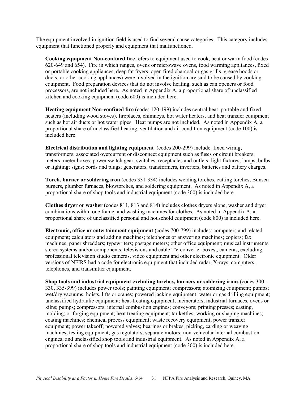The equipment involved in ignition field is used to find several cause categories. This category includes equipment that functioned properly and equipment that malfunctioned.

**Cooking equipment Non-confined fire** refers to equipment used to cook, heat or warm food (codes 620-649 and 654). Fire in which ranges, ovens or microwave ovens, food warming appliances, fixed or portable cooking appliances, deep fat fryers, open fired charcoal or gas grills, grease hoods or ducts, or other cooking appliances) were involved in the ignition are said to be caused by cooking equipment. Food preparation devices that do not involve heating, such as can openers or food processors, are not included here. As noted in Appendix A, a proportional share of unclassified kitchen and cooking equipment (code 600) is included here.

**Heating equipment Non-confined fire** (codes 120-199) includes central heat, portable and fixed heaters (including wood stoves), fireplaces, chimneys, hot water heaters, and heat transfer equipment such as hot air ducts or hot water pipes. Heat pumps are not included. As noted in Appendix A, a proportional share of unclassified heating, ventilation and air condition equipment (code 100) is included here.

**Electrical distribution and lighting equipment** (codes 200-299) include: fixed wiring; transformers; associated overcurrent or disconnect equipment such as fuses or circuit breakers; meters; meter boxes; power switch gear; switches, receptacles and outlets; light fixtures, lamps, bulbs or lighting; signs; cords and plugs; generators, transformers, inverters, batteries and battery charges.

**Torch, burner or soldering iron** (codes 331-334) includes welding torches, cutting torches, Bunsen burners, plumber furnaces, blowtorches, and soldering equipment. As noted in Appendix A, a proportional share of shop tools and industrial equipment (code 300) is included here.

**Clothes dryer or washer** (codes 811, 813 and 814) includes clothes dryers alone, washer and dryer combinations within one frame, and washing machines for clothes. As noted in Appendix A, a proportional share of unclassified personal and household equipment (code 800) is included here.

**Electronic, office or entertainment equipment** (codes 700-799) includes: computers and related equipment; calculators and adding machines; telephones or answering machines; copiers; fax machines; paper shredders; typewriters; postage meters; other office equipment; musical instruments; stereo systems and/or components; televisions and cable TV converter boxes,, cameras, excluding professional television studio cameras, video equipment and other electronic equipment. Older versions of NFIRS had a code for electronic equipment that included radar, X-rays, computers, telephones, and transmitter equipment.

**Shop tools and industrial equipment excluding torches, burners or soldering irons** (codes 300- 330, 335-399) includes power tools; painting equipment; compressors; atomizing equipment; pumps; wet/dry vacuums; hoists, lifts or cranes; powered jacking equipment; water or gas drilling equipment; unclassified hydraulic equipment; heat-treating equipment; incinerators, industrial furnaces, ovens or kilns; pumps; compressors; internal combustion engines; conveyors; printing presses; casting, molding; or forging equipment; heat treating equipment; tar kettles; working or shaping machines; coating machines; chemical process equipment; waste recovery equipment; power transfer equipment; power takeoff; powered valves; bearings or brakes; picking, carding or weaving machines; testing equipment; gas regulators; separate motors; non-vehicular internal combustion engines; and unclassified shop tools and industrial equipment. As noted in Appendix A, a proportional share of shop tools and industrial equipment (code 300) is included here.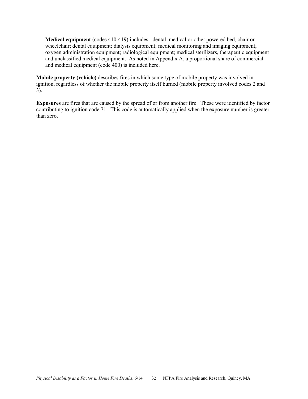**Medical equipment** (codes 410-419) includes: dental, medical or other powered bed, chair or wheelchair; dental equipment; dialysis equipment; medical monitoring and imaging equipment; oxygen administration equipment; radiological equipment; medical sterilizers, therapeutic equipment and unclassified medical equipment. As noted in Appendix A, a proportional share of commercial and medical equipment (code 400) is included here.

**Mobile property (vehicle)** describes fires in which some type of mobile property was involved in ignition, regardless of whether the mobile property itself burned (mobile property involved codes 2 and 3).

**Exposures** are fires that are caused by the spread of or from another fire. These were identified by factor contributing to ignition code 71. This code is automatically applied when the exposure number is greater than zero.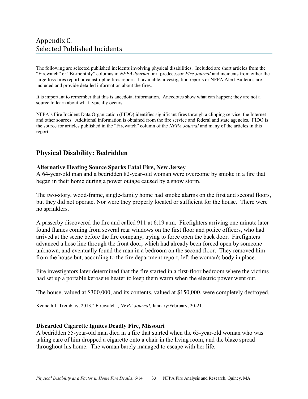# <span id="page-41-0"></span>Appendix C. Selected Published Incidents

The following are selected published incidents involving physical disabilities. Included are short articles from the "Firewatch" or "Bi-monthly" columns in *NFPA Journal* or it predecessor *Fire Journal* and incidents from either the large-loss fires report or catastrophic fires report. If available, investigation reports or NFPA Alert Bulletins are included and provide detailed information about the fires.

It is important to remember that this is anecdotal information. Anecdotes show what can happen; they are not a source to learn about what typically occurs.

NFPA's Fire Incident Data Organization (FIDO) identifies significant fires through a clipping service, the Internet and other sources. Additional information is obtained from the fire service and federal and state agencies. FIDO is the source for articles published in the "Firewatch" column of the *NFPA Journal* and many of the articles in this report.

# **Physical Disability: Bedridden**

## **Alternative Heating Source Sparks Fatal Fire, New Jersey**

A 64-year-old man and a bedridden 82-year-old woman were overcome by smoke in a fire that began in their home during a power outage caused by a snow storm.

The two-story, wood-frame, single-family home had smoke alarms on the first and second floors, but they did not operate. Nor were they properly located or sufficient for the house. There were no sprinklers.

A passerby discovered the fire and called 911 at 6:19 a.m. Firefighters arriving one minute later found flames coming from several rear windows on the first floor and police officers, who had arrived at the scene before the fire company, trying to force open the back door. Firefighters advanced a hose line through the front door, which had already been forced open by someone unknown, and eventually found the man in a bedroom on the second floor. They removed him from the house but, according to the fire department report, left the woman's body in place.

Fire investigators later determined that the fire started in a first-floor bedroom where the victims had set up a portable kerosene heater to keep them warm when the electric power went out.

The house, valued at \$300,000, and its contents, valued at \$150,000, were completely destroyed.

Kenneth J. Tremblay, 2013," Firewatch", *NFPA Journal*, January/February, 20-21.

## **Discarded Cigarette Ignites Deadly Fire, Missouri**

A bedridden 55-year-old man died in a fire that started when the 65-year-old woman who was taking care of him dropped a cigarette onto a chair in the living room, and the blaze spread throughout his home. The woman barely managed to escape with her life.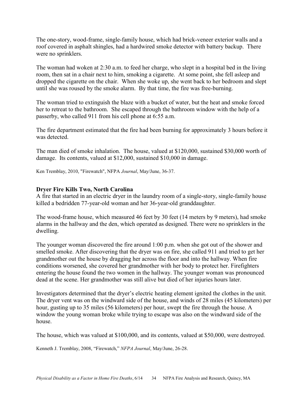The one-story, wood-frame, single-family house, which had brick-veneer exterior walls and a roof covered in asphalt shingles, had a hardwired smoke detector with battery backup. There were no sprinklers.

The woman had woken at 2:30 a.m. to feed her charge, who slept in a hospital bed in the living room, then sat in a chair next to him, smoking a cigarette. At some point, she fell asleep and dropped the cigarette on the chair. When she woke up, she went back to her bedroom and slept until she was roused by the smoke alarm. By that time, the fire was free-burning.

The woman tried to extinguish the blaze with a bucket of water, but the heat and smoke forced her to retreat to the bathroom. She escaped through the bathroom window with the help of a passerby, who called 911 from his cell phone at 6:55 a.m.

The fire department estimated that the fire had been burning for approximately 3 hours before it was detected.

The man died of smoke inhalation. The house, valued at \$120,000, sustained \$30,000 worth of damage. Its contents, valued at \$12,000, sustained \$10,000 in damage.

Ken Tremblay, 2010, "Firewatch", NFPA *Journal*, May/June, 36-37.

## **Dryer Fire Kills Two, North Carolina**

A fire that started in an electric dryer in the laundry room of a single-story, single-family house killed a bedridden 77-year-old woman and her 36-year-old granddaughter.

The wood-frame house, which measured 46 feet by 30 feet (14 meters by 9 meters), had smoke alarms in the hallway and the den, which operated as designed. There were no sprinklers in the dwelling.

The younger woman discovered the fire around 1:00 p.m. when she got out of the shower and smelled smoke. After discovering that the dryer was on fire, she called 911 and tried to get her grandmother out the house by dragging her across the floor and into the hallway. When fire conditions worsened, she covered her grandmother with her body to protect her. Firefighters entering the house found the two women in the hallway. The younger woman was pronounced dead at the scene. Her grandmother was still alive but died of her injuries hours later.

Investigators determined that the dryer's electric heating element ignited the clothes in the unit. The dryer vent was on the windward side of the house, and winds of 28 miles (45 kilometers) per hour, gusting up to 35 miles (56 kilometers) per hour, swept the fire through the house. A window the young woman broke while trying to escape was also on the windward side of the house.

The house, which was valued at \$100,000, and its contents, valued at \$50,000, were destroyed.

Kenneth J. Tremblay, 2008, "Firewatch," *NFPA Journal*, May/June, 26-28.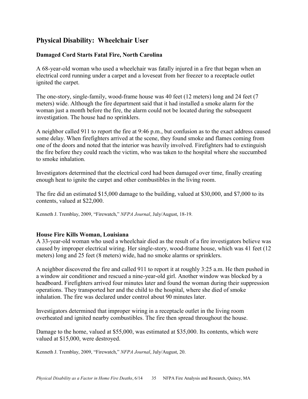# **Physical Disability: Wheelchair User**

## **Damaged Cord Starts Fatal Fire, North Carolina**

A 68-year-old woman who used a wheelchair was fatally injured in a fire that began when an electrical cord running under a carpet and a loveseat from her freezer to a receptacle outlet ignited the carpet.

The one-story, single-family, wood-frame house was 40 feet (12 meters) long and 24 feet (7 meters) wide. Although the fire department said that it had installed a smoke alarm for the woman just a month before the fire, the alarm could not be located during the subsequent investigation. The house had no sprinklers.

A neighbor called 911 to report the fire at 9:46 p.m., but confusion as to the exact address caused some delay. When firefighters arrived at the scene, they found smoke and flames coming from one of the doors and noted that the interior was heavily involved. Firefighters had to extinguish the fire before they could reach the victim, who was taken to the hospital where she succumbed to smoke inhalation.

Investigators determined that the electrical cord had been damaged over time, finally creating enough heat to ignite the carpet and other combustibles in the living room.

The fire did an estimated \$15,000 damage to the building, valued at \$30,000, and \$7,000 to its contents, valued at \$22,000.

Kenneth J. Tremblay, 2009, "Firewatch," *NFPA Journal*, July/August, 18-19.

## **House Fire Kills Woman, Louisiana**

A 33-year-old woman who used a wheelchair died as the result of a fire investigators believe was caused by improper electrical wiring. Her single-story, wood-frame house, which was 41 feet (12 meters) long and 25 feet (8 meters) wide, had no smoke alarms or sprinklers.

A neighbor discovered the fire and called 911 to report it at roughly 3:25 a.m. He then pushed in a window air conditioner and rescued a nine-year-old girl. Another window was blocked by a headboard. Firefighters arrived four minutes later and found the woman during their suppression operations. They transported her and the child to the hospital, where she died of smoke inhalation. The fire was declared under control about 90 minutes later.

Investigators determined that improper wiring in a receptacle outlet in the living room overheated and ignited nearby combustibles. The fire then spread throughout the house.

Damage to the home, valued at \$55,000, was estimated at \$35,000. Its contents, which were valued at \$15,000, were destroyed.

Kenneth J. Tremblay, 2009, "Firewatch," *NFPA Journal*, July/August, 20.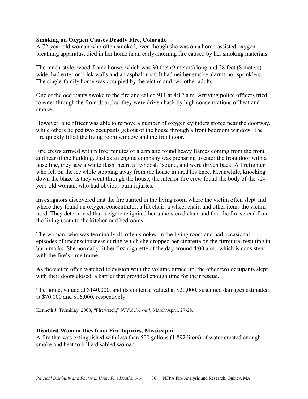## **Smoking on Oxygen Causes Deadly Fire, Colorado**

A 72-year-old woman who often smoked, even though she was on a home-assisted oxygen breathing apparatus, died in her home in an early-morning fire caused by her smoking materials.

The ranch-style, wood-frame house, which was 30 feet (9 meters) long and 28 feet (8 meters) wide, had exterior brick walls and an asphalt roof. It had neither smoke alarms nor sprinklers. The single-family home was occupied by the victim and two other adults.

One of the occupants awoke to the fire and called 911 at 4:12 a.m. Arriving police officers tried to enter through the front door, but they were driven back by high concentrations of heat and smoke.

However, one officer was able to remove a number of oxygen cylinders stored near the doorway, while others helped two occupants get out of the house through a front bedroom window. The fire quickly filled the living room window and the front door.

Fire crews arrived within five minutes of alarm and found heavy flames coming from the front and rear of the building. Just as an engine company was preparing to enter the front door with a hose line, they saw a white flash, heard a "whoosh" sound, and were driven back. A firefighter who fell on the ice while stepping away from the house injured his knee. Meanwhile, knocking down the blaze as they went through the house, the interior fire crew found the body of the 72 year-old woman, who had obvious burn injuries.

Investigators discovered that the fire started in the living room where the victim often slept and where they found an oxygen concentrator, a lift chair, a wheel chair, and other items the victim used. They determined that a cigarette ignited her upholstered chair and that the fire spread from the living room to the kitchen and bedrooms.

The woman, who was terminally ill, often smoked in the living room and had occasional episodes of unconsciousness during which she dropped her cigarette on the furniture, resulting in burn marks. She normally lit her first cigarette of the day around 4:00 a.m., which is consistent with the fire's time frame.

As the victim often watched television with the volume turned up, the other two occupants slept with their doors closed, a barrier that provided enough time for their rescue.

The home, valued at \$140,000, and its contents, valued at \$20,000, sustained damages estimated at \$70,000 and \$16,000, respectively.

Kenneth J. Tremblay, 2008, "Firewatch," *NFPA Journal*, March/April, 27-28.

#### **Disabled Woman Dies from Fire Injuries, Mississippi**

A fire that was extinguished with less than 500 gallons (1,892 liters) of water created enough smoke and heat to kill a disabled woman.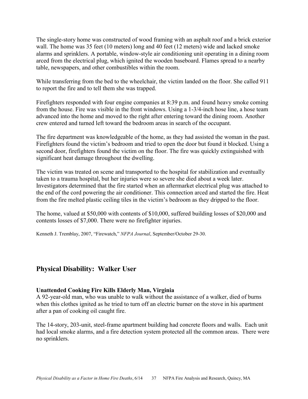The single-story home was constructed of wood framing with an asphalt roof and a brick exterior wall. The home was 35 feet (10 meters) long and 40 feet (12 meters) wide and lacked smoke alarms and sprinklers. A portable, window-style air conditioning unit operating in a dining room arced from the electrical plug, which ignited the wooden baseboard. Flames spread to a nearby table, newspapers, and other combustibles within the room.

While transferring from the bed to the wheelchair, the victim landed on the floor. She called 911 to report the fire and to tell them she was trapped.

Firefighters responded with four engine companies at 8:39 p.m. and found heavy smoke coming from the house. Fire was visible in the front windows. Using a 1-3/4-inch hose line, a hose team advanced into the home and moved to the right after entering toward the dining room. Another crew entered and turned left toward the bedroom areas in search of the occupant.

The fire department was knowledgeable of the home, as they had assisted the woman in the past. Firefighters found the victim's bedroom and tried to open the door but found it blocked. Using a second door, firefighters found the victim on the floor. The fire was quickly extinguished with significant heat damage throughout the dwelling.

The victim was treated on scene and transported to the hospital for stabilization and eventually taken to a trauma hospital, but her injuries were so severe she died about a week later. Investigators determined that the fire started when an aftermarket electrical plug was attached to the end of the cord powering the air conditioner. This connection arced and started the fire. Heat from the fire melted plastic ceiling tiles in the victim's bedroom as they dripped to the floor.

The home, valued at \$50,000 with contents of \$10,000, suffered building losses of \$20,000 and contents losses of \$7,000. There were no firefighter injuries.

Kenneth J. Tremblay, 2007, "Firewatch," *NFPA Journal*, September/October 29-30.

# **Physical Disability: Walker User**

## **Unattended Cooking Fire Kills Elderly Man, Virginia**

A 92-year-old man, who was unable to walk without the assistance of a walker, died of burns when this clothes ignited as he tried to turn off an electric burner on the stove in his apartment after a pan of cooking oil caught fire.

The 14-story, 203-unit, steel-frame apartment building had concrete floors and walls. Each unit had local smoke alarms, and a fire detection system protected all the common areas. There were no sprinklers.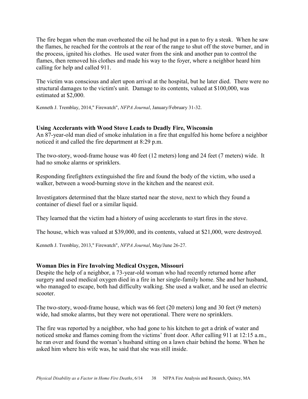The fire began when the man overheated the oil he had put in a pan to fry a steak. When he saw the flames, he reached for the controls at the rear of the range to shut off the stove burner, and in the process, ignited his clothes. He used water from the sink and another pan to control the flames, then removed his clothes and made his way to the foyer, where a neighbor heard him calling for help and called 911.

The victim was conscious and alert upon arrival at the hospital, but he later died. There were no structural damages to the victim's unit. Damage to its contents, valued at \$100,000, was estimated at \$2,000.

Kenneth J. Tremblay, 2014," Firewatch", *NFPA Journal*, January/February 31-32.

## **Using Accelerants with Wood Stove Leads to Deadly Fire, Wisconsin**

An 87-year-old man died of smoke inhalation in a fire that engulfed his home before a neighbor noticed it and called the fire department at 8:29 p.m.

The two-story, wood-frame house was 40 feet (12 meters) long and 24 feet (7 meters) wide. It had no smoke alarms or sprinklers.

Responding firefighters extinguished the fire and found the body of the victim, who used a walker, between a wood-burning stove in the kitchen and the nearest exit.

Investigators determined that the blaze started near the stove, next to which they found a container of diesel fuel or a similar liquid.

They learned that the victim had a history of using accelerants to start fires in the stove.

The house, which was valued at \$39,000, and its contents, valued at \$21,000, were destroyed.

Kenneth J. Tremblay, 2013," Firewatch", *NFPA Journal*, May/June 26-27.

## **Woman Dies in Fire Involving Medical Oxygen, Missouri**

Despite the help of a neighbor, a 73-year-old woman who had recently returned home after surgery and used medical oxygen died in a fire in her single-family home. She and her husband, who managed to escape, both had difficulty walking. She used a walker, and he used an electric scooter.

The two-story, wood-frame house, which was 66 feet (20 meters) long and 30 feet (9 meters) wide, had smoke alarms, but they were not operational. There were no sprinklers.

The fire was reported by a neighbor, who had gone to his kitchen to get a drink of water and noticed smoke and flames coming from the victims' front door. After calling 911 at 12:15 a.m., he ran over and found the woman's husband sitting on a lawn chair behind the home. When he asked him where his wife was, he said that she was still inside.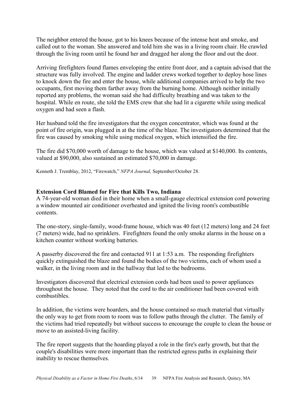The neighbor entered the house, got to his knees because of the intense heat and smoke, and called out to the woman. She answered and told him she was in a living room chair. He crawled through the living room until he found her and dragged her along the floor and out the door.

Arriving firefighters found flames enveloping the entire front door, and a captain advised that the structure was fully involved. The engine and ladder crews worked together to deploy hose lines to knock down the fire and enter the house, while additional companies arrived to help the two occupants, first moving them farther away from the burning home. Although neither initially reported any problems, the woman said she had difficulty breathing and was taken to the hospital. While en route, she told the EMS crew that she had lit a cigarette while using medical oxygen and had seen a flash.

Her husband told the fire investigators that the oxygen concentrator, which was found at the point of fire origin, was plugged in at the time of the blaze. The investigators determined that the fire was caused by smoking while using medical oxygen, which intensified the fire.

The fire did \$70,000 worth of damage to the house, which was valued at \$140,000. Its contents, valued at \$90,000, also sustained an estimated \$70,000 in damage.

Kenneth J. Tremblay, 2012, "Firewatch," *NFPA Journal,* September/October 28.

## **Extension Cord Blamed for Fire that Kills Two, Indiana**

A 74-year-old woman died in their home when a small-gauge electrical extension cord powering a window mounted air conditioner overheated and ignited the living room's combustible contents.

The one-story, single-family, wood-frame house, which was 40 feet (12 meters) long and 24 feet (7 meters) wide, had no sprinklers. Firefighters found the only smoke alarms in the house on a kitchen counter without working batteries.

A passerby discovered the fire and contacted 911 at 1:53 a.m. The responding firefighters quickly extinguished the blaze and found the bodies of the two victims, each of whom used a walker, in the living room and in the hallway that led to the bedrooms.

Investigators discovered that electrical extension cords had been used to power appliances throughout the house. They noted that the cord to the air conditioner had been covered with combustibles.

In addition, the victims were hoarders, and the house contained so much material that virtually the only way to get from room to room was to follow paths through the clutter. The family of the victims had tried repeatedly but without success to encourage the couple to clean the house or move to an assisted-living facility.

The fire report suggests that the hoarding played a role in the fire's early growth, but that the couple's disabilities were more important than the restricted egress paths in explaining their inability to rescue themselves.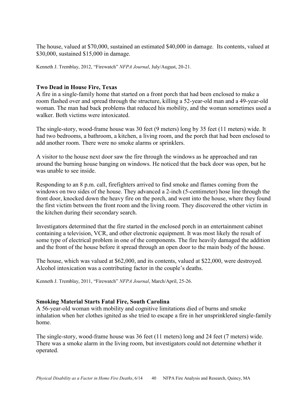The house, valued at \$70,000, sustained an estimated \$40,000 in damage. Its contents, valued at \$30,000, sustained \$15,000 in damage.

Kenneth J. Tremblay, 2012, "Firewatch" *NFPA Journal*, July/August, 20-21.

## **Two Dead in House Fire, Texas**

A fire in a single-family home that started on a front porch that had been enclosed to make a room flashed over and spread through the structure, killing a 52-year-old man and a 49-year-old woman. The man had back problems that reduced his mobility, and the woman sometimes used a walker. Both victims were intoxicated.

The single-story, wood-frame house was 30 feet (9 meters) long by 35 feet (11 meters) wide. It had two bedrooms, a bathroom, a kitchen, a living room, and the porch that had been enclosed to add another room. There were no smoke alarms or sprinklers.

A visitor to the house next door saw the fire through the windows as he approached and ran around the burning house banging on windows. He noticed that the back door was open, but he was unable to see inside.

Responding to an 8 p.m. call, firefighters arrived to find smoke and flames coming from the windows on two sides of the house. They advanced a 2-inch (5-centimeter) hose line through the front door, knocked down the heavy fire on the porch, and went into the house, where they found the first victim between the front room and the living room. They discovered the other victim in the kitchen during their secondary search.

Investigators determined that the fire started in the enclosed porch in an entertainment cabinet containing a television, VCR, and other electronic equipment. It was most likely the result of some type of electrical problem in one of the components. The fire heavily damaged the addition and the front of the house before it spread through an open door to the main body of the house.

The house, which was valued at \$62,000, and its contents, valued at \$22,000, were destroyed. Alcohol intoxication was a contributing factor in the couple's deaths.

Kenneth J. Tremblay, 2011, "Firewatch" *NFPA Journal*, March/April, 25-26.

## **Smoking Material Starts Fatal Fire, South Carolina**

A 56-year-old woman with mobility and cognitive limitations died of burns and smoke inhalation when her clothes ignited as she tried to escape a fire in her unsprinklered single-family home.

The single-story, wood-frame house was 36 feet (11 meters) long and 24 feet (7 meters) wide. There was a smoke alarm in the living room, but investigators could not determine whether it operated.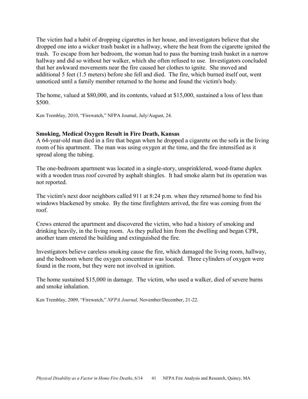The victim had a habit of dropping cigarettes in her house, and investigators believe that she dropped one into a wicker trash basket in a hallway, where the heat from the cigarette ignited the trash. To escape from her bedroom, the woman had to pass the burning trash basket in a narrow hallway and did so without her walker, which she often refused to use. Investigators concluded that her awkward movements near the fire caused her clothes to ignite. She moved and additional 5 feet (1.5 meters) before she fell and died. The fire, which burned itself out, went unnoticed until a family member returned to the home and found the victim's body.

The home, valued at \$80,000, and its contents, valued at \$15,000, sustained a loss of less than \$500.

Ken Tremblay, 2010, "Firewatch," NFPA Journal, July/August, 24.

#### **Smoking, Medical Oxygen Result in Fire Death, Kansas**

A 64-year-old man died in a fire that began when he dropped a cigarette on the sofa in the living room of his apartment. The man was using oxygen at the time, and the fire intensified as it spread along the tubing.

The one-bedroom apartment was located in a single-story, unsprinklered, wood-frame duplex with a wooden truss roof covered by asphalt shingles. It had smoke alarm but its operation was not reported.

The victim's next door neighbors called 911 at 8:24 p.m. when they returned home to find his windows blackened by smoke. By the time firefighters arrived, the fire was coming from the roof.

Crews entered the apartment and discovered the victim, who had a history of smoking and drinking heavily, in the living room. As they pulled him from the dwelling and began CPR, another team entered the building and extinguished the fire.

Investigators believe careless smoking cause the fire, which damaged the living room, hallway, and the bedroom where the oxygen concentrator was located. Three cylinders of oxygen were found in the room, but they were not involved in ignition.

The home sustained \$15,000 in damage. The victim, who used a walker, died of severe burns and smoke inhalation.

Ken Tremblay, 2009, "Firewatch," *NFPA Journal,* November/December, 21-22.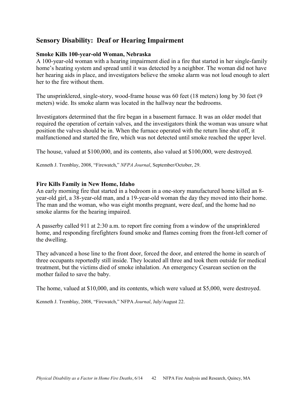# **Sensory Disability: Deaf or Hearing Impairment**

## **Smoke Kills 100-year-old Woman, Nebraska**

A 100-year-old woman with a hearing impairment died in a fire that started in her single-family home's heating system and spread until it was detected by a neighbor. The woman did not have her hearing aids in place, and investigators believe the smoke alarm was not loud enough to alert her to the fire without them.

The unsprinklered, single-story, wood-frame house was 60 feet (18 meters) long by 30 feet (9 meters) wide. Its smoke alarm was located in the hallway near the bedrooms.

Investigators determined that the fire began in a basement furnace. It was an older model that required the operation of certain valves, and the investigators think the woman was unsure what position the valves should be in. When the furnace operated with the return line shut off, it malfunctioned and started the fire, which was not detected until smoke reached the upper level.

The house, valued at \$100,000, and its contents, also valued at \$100,000, were destroyed.

Kenneth J. Tremblay, 2008, "Firewatch," *NFPA Journal*, September/October, 29.

## **Fire Kills Family in New Home, Idaho**

An early morning fire that started in a bedroom in a one-story manufactured home killed an 8 year-old girl, a 38-year-old man, and a 19-year-old woman the day they moved into their home. The man and the woman, who was eight months pregnant, were deaf, and the home had no smoke alarms for the hearing impaired.

A passerby called 911 at 2:30 a.m. to report fire coming from a window of the unsprinklered home, and responding firefighters found smoke and flames coming from the front-left corner of the dwelling.

They advanced a hose line to the front door, forced the door, and entered the home in search of three occupants reportedly still inside. They located all three and took them outside for medical treatment, but the victims died of smoke inhalation. An emergency Cesarean section on the mother failed to save the baby.

The home, valued at \$10,000, and its contents, which were valued at \$5,000, were destroyed.

Kenneth J. Tremblay, 2008, "Firewatch," NFPA *Journal*, July/August 22.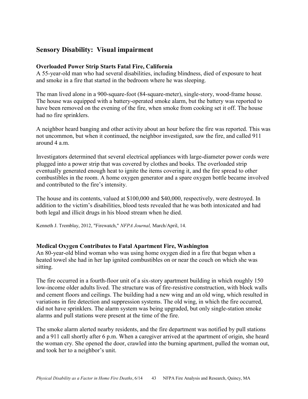# **Sensory Disability: Visual impairment**

## **Overloaded Power Strip Starts Fatal Fire, California**

A 55-year-old man who had several disabilities, including blindness, died of exposure to heat and smoke in a fire that started in the bedroom where he was sleeping.

The man lived alone in a 900-square-foot (84-square-meter), single-story, wood-frame house. The house was equipped with a battery-operated smoke alarm, but the battery was reported to have been removed on the evening of the fire, when smoke from cooking set it off. The house had no fire sprinklers.

A neighbor heard banging and other activity about an hour before the fire was reported. This was not uncommon, but when it continued, the neighbor investigated, saw the fire, and called 911 around 4 a.m.

Investigators determined that several electrical appliances with large-diameter power cords were plugged into a power strip that was covered by clothes and books. The overloaded strip eventually generated enough heat to ignite the items covering it, and the fire spread to other combustibles in the room. A home oxygen generator and a spare oxygen bottle became involved and contributed to the fire's intensity.

The house and its contents, valued at \$100,000 and \$40,000, respectively, were destroyed. In addition to the victim's disabilities, blood tests revealed that he was both intoxicated and had both legal and illicit drugs in his blood stream when he died.

Kenneth J. Tremblay, 2012, "Firewatch," *NFPA Journal,* March/April, 14.

## **Medical Oxygen Contributes to Fatal Apartment Fire, Washington**

An 80-year-old blind woman who was using home oxygen died in a fire that began when a heated towel she had in her lap ignited combustibles on or near the couch on which she was sitting.

The fire occurred in a fourth-floor unit of a six-story apartment building in which roughly 150 low-income older adults lived. The structure was of fire-resistive construction, with block walls and cement floors and ceilings. The building had a new wing and an old wing, which resulted in variations in fire detection and suppression systems. The old wing, in which the fire occurred, did not have sprinklers. The alarm system was being upgraded, but only single-station smoke alarms and pull stations were present at the time of the fire.

The smoke alarm alerted nearby residents, and the fire department was notified by pull stations and a 911 call shortly after 6 p.m. When a caregiver arrived at the apartment of origin, she heard the woman cry. She opened the door, crawled into the burning apartment, pulled the woman out, and took her to a neighbor's unit.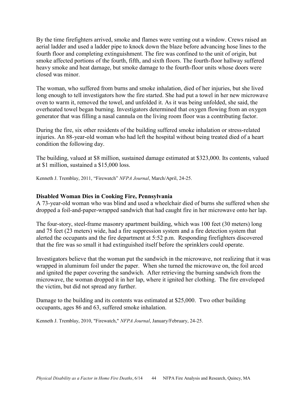By the time firefighters arrived, smoke and flames were venting out a window. Crews raised an aerial ladder and used a ladder pipe to knock down the blaze before advancing hose lines to the fourth floor and completing extinguishment. The fire was confined to the unit of origin, but smoke affected portions of the fourth, fifth, and sixth floors. The fourth-floor hallway suffered heavy smoke and heat damage, but smoke damage to the fourth-floor units whose doors were closed was minor.

The woman, who suffered from burns and smoke inhalation, died of her injuries, but she lived long enough to tell investigators how the fire started. She had put a towel in her new microwave oven to warm it, removed the towel, and unfolded it. As it was being unfolded, she said, the overheated towel began burning. Investigators determined that oxygen flowing from an oxygen generator that was filling a nasal cannula on the living room floor was a contributing factor.

During the fire, six other residents of the building suffered smoke inhalation or stress-related injuries. An 88-year-old woman who had left the hospital without being treated died of a heart condition the following day.

The building, valued at \$8 million, sustained damage estimated at \$323,000. Its contents, valued at \$1 million, sustained a \$15,000 loss.

Kenneth J. Tremblay, 2011, "Firewatch" *NFPA Journal*, March/April, 24-25.

## **Disabled Woman Dies in Cooking Fire, Pennsylvania**

A 73-year-old woman who was blind and used a wheelchair died of burns she suffered when she dropped a foil-and-paper-wrapped sandwich that had caught fire in her microwave onto her lap.

The four-story, steel-frame masonry apartment building, which was 100 feet (30 meters) long and 75 feet (23 meters) wide, had a fire suppression system and a fire detection system that alerted the occupants and the fire department at 5:52 p.m. Responding firefighters discovered that the fire was so small it had extinguished itself before the sprinklers could operate.

Investigators believe that the woman put the sandwich in the microwave, not realizing that it was wrapped in aluminum foil under the paper. When she turned the microwave on, the foil arced and ignited the paper covering the sandwich. After retrieving the burning sandwich from the microwave, the woman dropped it in her lap, where it ignited her clothing. The fire enveloped the victim, but did not spread any further.

Damage to the building and its contents was estimated at \$25,000. Two other building occupants, ages 86 and 63, suffered smoke inhalation.

Kenneth J. Tremblay, 2010, "Firewatch," *NFPA Journal*, January/February, 24-25.